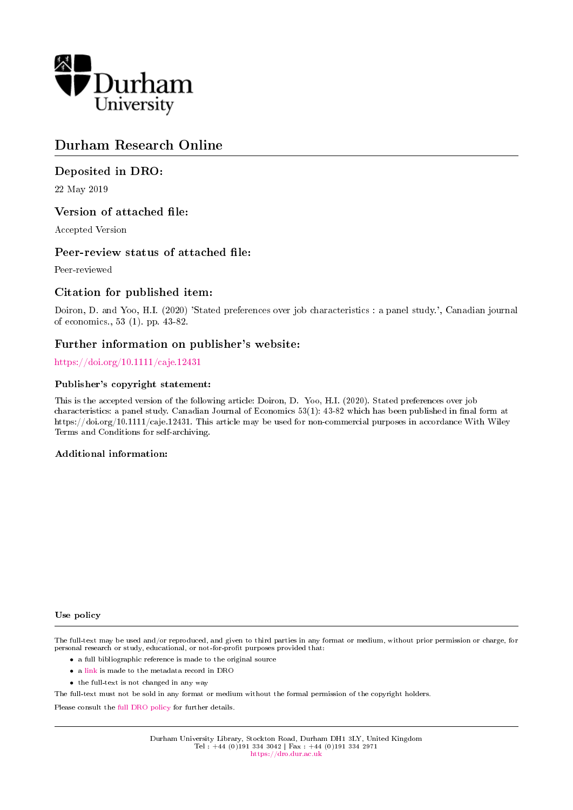

#### Durham Research Online

#### Deposited in DRO:

22 May 2019

#### Version of attached file:

Accepted Version

#### Peer-review status of attached file:

Peer-reviewed

#### Citation for published item:

Doiron, D. and Yoo, H.I. (2020) 'Stated preferences over job characteristics : a panel study.', Canadian journal of economics., 53 (1). pp. 43-82.

#### Further information on publisher's website:

#### <https://doi.org/10.1111/caje.12431>

#### Publisher's copyright statement:

This is the accepted version of the following article: Doiron, D. Yoo, H.I. (2020). Stated preferences over job characteristics: a panel study. Canadian Journal of Economics 53(1): 43-82 which has been published in final form at https://doi.org/10.1111/caje.12431. This article may be used for non-commercial purposes in accordance With Wiley Terms and Conditions for self-archiving.

#### Additional information:

#### Use policy

The full-text may be used and/or reproduced, and given to third parties in any format or medium, without prior permission or charge, for personal research or study, educational, or not-for-profit purposes provided that:

- a full bibliographic reference is made to the original source
- a [link](http://dro.dur.ac.uk/28227/) is made to the metadata record in DRO
- the full-text is not changed in any way

The full-text must not be sold in any format or medium without the formal permission of the copyright holders.

Please consult the [full DRO policy](https://dro.dur.ac.uk/policies/usepolicy.pdf) for further details.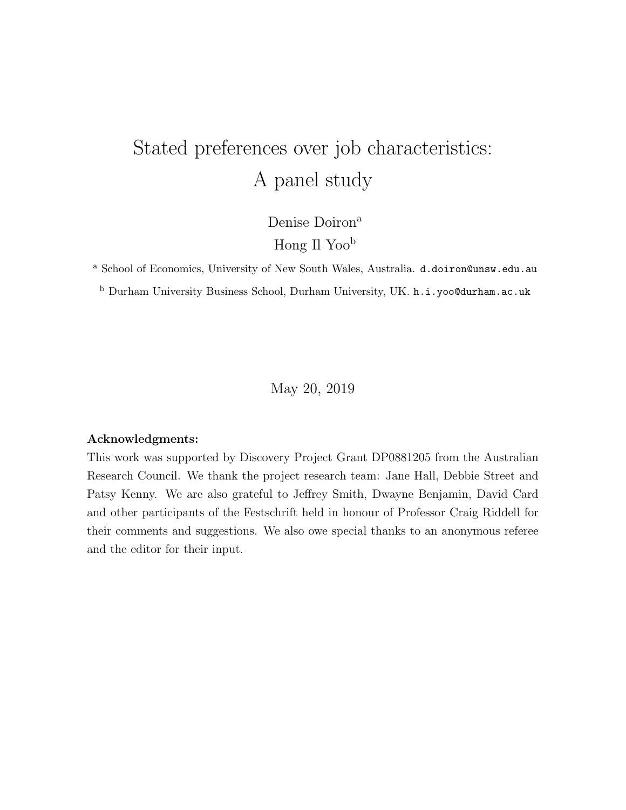### Stated preferences over job characteristics: A panel study

Denise Doiron<sup>a</sup>

Hong Il Yoo<sup>b</sup>

<sup>a</sup> School of Economics, University of New South Wales, Australia. d.doiron@unsw.edu.au

<sup>b</sup> Durham University Business School, Durham University, UK. h.i.yoo@durham.ac.uk

May 20, 2019

#### Acknowledgments:

This work was supported by Discovery Project Grant DP0881205 from the Australian Research Council. We thank the project research team: Jane Hall, Debbie Street and Patsy Kenny. We are also grateful to Jeffrey Smith, Dwayne Benjamin, David Card and other participants of the Festschrift held in honour of Professor Craig Riddell for their comments and suggestions. We also owe special thanks to an anonymous referee and the editor for their input.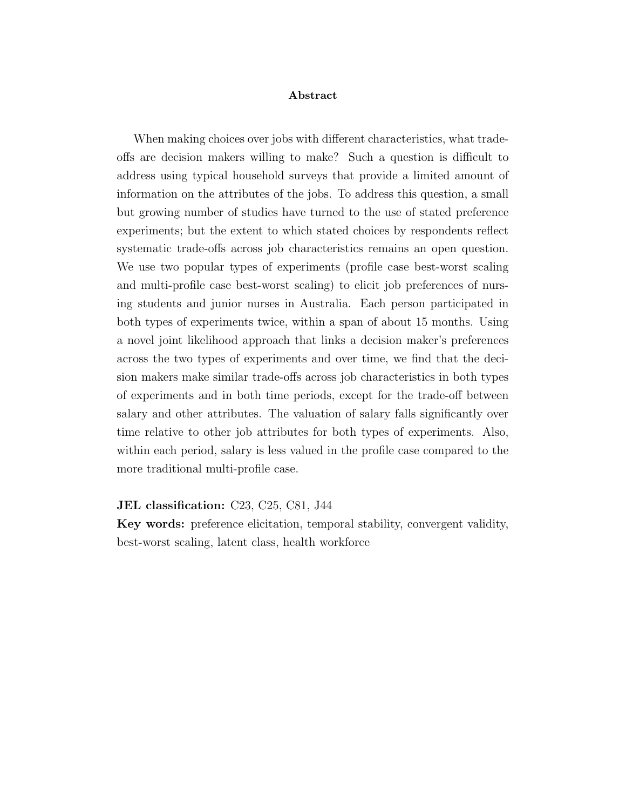#### Abstract

When making choices over jobs with different characteristics, what tradeoffs are decision makers willing to make? Such a question is difficult to address using typical household surveys that provide a limited amount of information on the attributes of the jobs. To address this question, a small but growing number of studies have turned to the use of stated preference experiments; but the extent to which stated choices by respondents reflect systematic trade-offs across job characteristics remains an open question. We use two popular types of experiments (profile case best-worst scaling and multi-profile case best-worst scaling) to elicit job preferences of nursing students and junior nurses in Australia. Each person participated in both types of experiments twice, within a span of about 15 months. Using a novel joint likelihood approach that links a decision maker's preferences across the two types of experiments and over time, we find that the decision makers make similar trade-offs across job characteristics in both types of experiments and in both time periods, except for the trade-off between salary and other attributes. The valuation of salary falls significantly over time relative to other job attributes for both types of experiments. Also, within each period, salary is less valued in the profile case compared to the more traditional multi-profile case.

#### JEL classification: C23, C25, C81, J44

Key words: preference elicitation, temporal stability, convergent validity, best-worst scaling, latent class, health workforce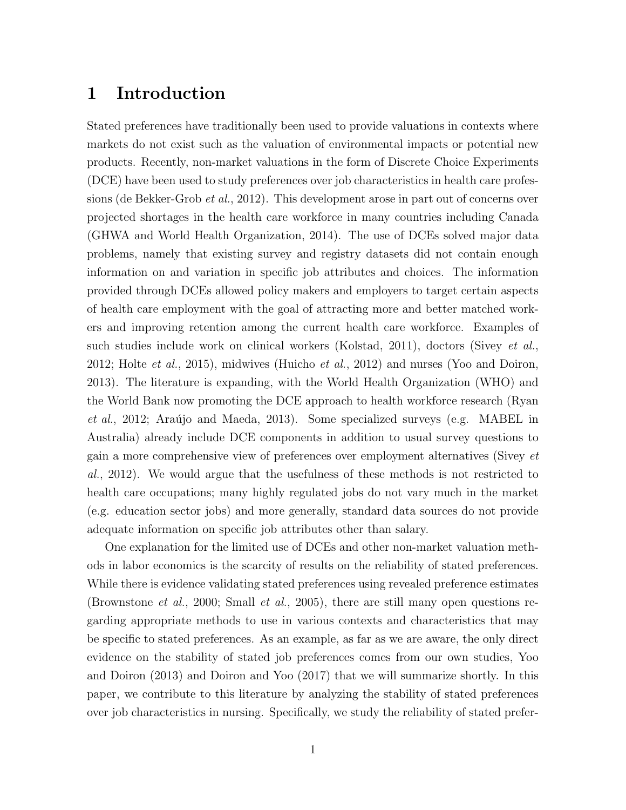#### 1 Introduction

Stated preferences have traditionally been used to provide valuations in contexts where markets do not exist such as the valuation of environmental impacts or potential new products. Recently, non-market valuations in the form of Discrete Choice Experiments (DCE) have been used to study preferences over job characteristics in health care professions (de Bekker-Grob et al., 2012). This development arose in part out of concerns over projected shortages in the health care workforce in many countries including Canada (GHWA and World Health Organization, 2014). The use of DCEs solved major data problems, namely that existing survey and registry datasets did not contain enough information on and variation in specific job attributes and choices. The information provided through DCEs allowed policy makers and employers to target certain aspects of health care employment with the goal of attracting more and better matched workers and improving retention among the current health care workforce. Examples of such studies include work on clinical workers (Kolstad, 2011), doctors (Sivey et al., 2012; Holte *et al.*, 2015), midwives (Huicho *et al.*, 2012) and nurses (Yoo and Doiron, 2013). The literature is expanding, with the World Health Organization (WHO) and the World Bank now promoting the DCE approach to health workforce research (Ryan *et al.*, 2012; Araújo and Maeda, 2013). Some specialized surveys (e.g. MABEL in Australia) already include DCE components in addition to usual survey questions to gain a more comprehensive view of preferences over employment alternatives (Sivey et al., 2012). We would argue that the usefulness of these methods is not restricted to health care occupations; many highly regulated jobs do not vary much in the market (e.g. education sector jobs) and more generally, standard data sources do not provide adequate information on specific job attributes other than salary.

One explanation for the limited use of DCEs and other non-market valuation methods in labor economics is the scarcity of results on the reliability of stated preferences. While there is evidence validating stated preferences using revealed preference estimates (Brownstone et al., 2000; Small et al., 2005), there are still many open questions regarding appropriate methods to use in various contexts and characteristics that may be specific to stated preferences. As an example, as far as we are aware, the only direct evidence on the stability of stated job preferences comes from our own studies, Yoo and Doiron (2013) and Doiron and Yoo (2017) that we will summarize shortly. In this paper, we contribute to this literature by analyzing the stability of stated preferences over job characteristics in nursing. Specifically, we study the reliability of stated prefer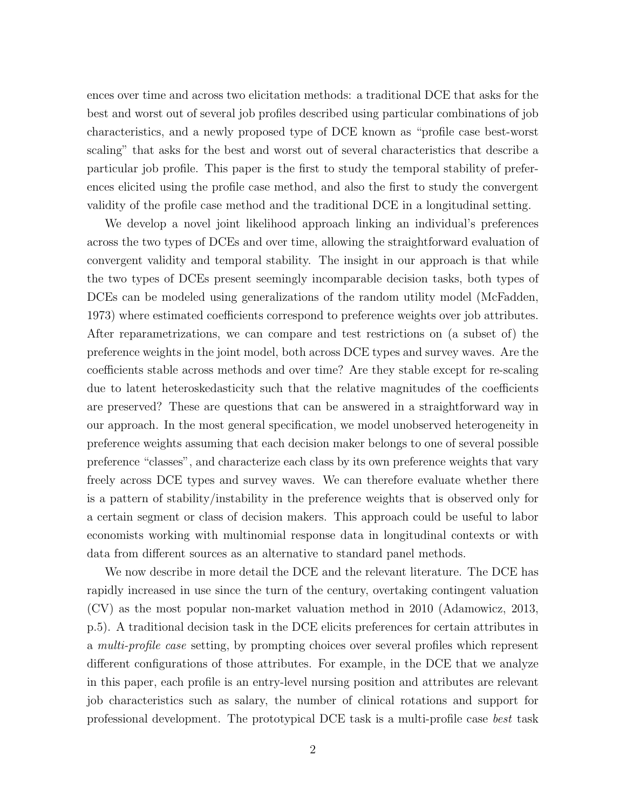ences over time and across two elicitation methods: a traditional DCE that asks for the best and worst out of several job profiles described using particular combinations of job characteristics, and a newly proposed type of DCE known as "profile case best-worst scaling" that asks for the best and worst out of several characteristics that describe a particular job profile. This paper is the first to study the temporal stability of preferences elicited using the profile case method, and also the first to study the convergent validity of the profile case method and the traditional DCE in a longitudinal setting.

We develop a novel joint likelihood approach linking an individual's preferences across the two types of DCEs and over time, allowing the straightforward evaluation of convergent validity and temporal stability. The insight in our approach is that while the two types of DCEs present seemingly incomparable decision tasks, both types of DCEs can be modeled using generalizations of the random utility model (McFadden, 1973) where estimated coefficients correspond to preference weights over job attributes. After reparametrizations, we can compare and test restrictions on (a subset of) the preference weights in the joint model, both across DCE types and survey waves. Are the coefficients stable across methods and over time? Are they stable except for re-scaling due to latent heteroskedasticity such that the relative magnitudes of the coefficients are preserved? These are questions that can be answered in a straightforward way in our approach. In the most general specification, we model unobserved heterogeneity in preference weights assuming that each decision maker belongs to one of several possible preference "classes", and characterize each class by its own preference weights that vary freely across DCE types and survey waves. We can therefore evaluate whether there is a pattern of stability/instability in the preference weights that is observed only for a certain segment or class of decision makers. This approach could be useful to labor economists working with multinomial response data in longitudinal contexts or with data from different sources as an alternative to standard panel methods.

We now describe in more detail the DCE and the relevant literature. The DCE has rapidly increased in use since the turn of the century, overtaking contingent valuation (CV) as the most popular non-market valuation method in 2010 (Adamowicz, 2013, p.5). A traditional decision task in the DCE elicits preferences for certain attributes in a multi-profile case setting, by prompting choices over several profiles which represent different configurations of those attributes. For example, in the DCE that we analyze in this paper, each profile is an entry-level nursing position and attributes are relevant job characteristics such as salary, the number of clinical rotations and support for professional development. The prototypical DCE task is a multi-profile case best task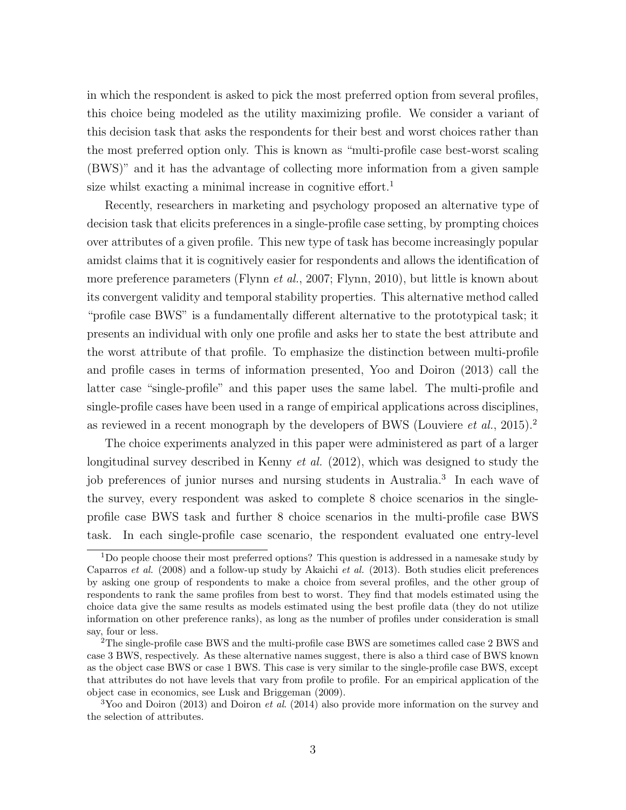in which the respondent is asked to pick the most preferred option from several profiles, this choice being modeled as the utility maximizing profile. We consider a variant of this decision task that asks the respondents for their best and worst choices rather than the most preferred option only. This is known as "multi-profile case best-worst scaling (BWS)" and it has the advantage of collecting more information from a given sample size whilst exacting a minimal increase in cognitive effort.<sup>1</sup>

Recently, researchers in marketing and psychology proposed an alternative type of decision task that elicits preferences in a single-profile case setting, by prompting choices over attributes of a given profile. This new type of task has become increasingly popular amidst claims that it is cognitively easier for respondents and allows the identification of more preference parameters (Flynn *et al.*, 2007; Flynn, 2010), but little is known about its convergent validity and temporal stability properties. This alternative method called "profile case BWS" is a fundamentally different alternative to the prototypical task; it presents an individual with only one profile and asks her to state the best attribute and the worst attribute of that profile. To emphasize the distinction between multi-profile and profile cases in terms of information presented, Yoo and Doiron (2013) call the latter case "single-profile" and this paper uses the same label. The multi-profile and single-profile cases have been used in a range of empirical applications across disciplines, as reviewed in a recent monograph by the developers of BWS (Louviere *et al.*, 2015).<sup>2</sup>

The choice experiments analyzed in this paper were administered as part of a larger longitudinal survey described in Kenny et al. (2012), which was designed to study the job preferences of junior nurses and nursing students in Australia.<sup>3</sup> In each wave of the survey, every respondent was asked to complete 8 choice scenarios in the singleprofile case BWS task and further 8 choice scenarios in the multi-profile case BWS task. In each single-profile case scenario, the respondent evaluated one entry-level

<sup>1</sup>Do people choose their most preferred options? This question is addressed in a namesake study by Caparros et al. (2008) and a follow-up study by Akaichi et al. (2013). Both studies elicit preferences by asking one group of respondents to make a choice from several profiles, and the other group of respondents to rank the same profiles from best to worst. They find that models estimated using the choice data give the same results as models estimated using the best profile data (they do not utilize information on other preference ranks), as long as the number of profiles under consideration is small say, four or less.

<sup>2</sup>The single-profile case BWS and the multi-profile case BWS are sometimes called case 2 BWS and case 3 BWS, respectively. As these alternative names suggest, there is also a third case of BWS known as the object case BWS or case 1 BWS. This case is very similar to the single-profile case BWS, except that attributes do not have levels that vary from profile to profile. For an empirical application of the object case in economics, see Lusk and Briggeman (2009).

 $3$ Yoo and Doiron (2013) and Doiron *et al.* (2014) also provide more information on the survey and the selection of attributes.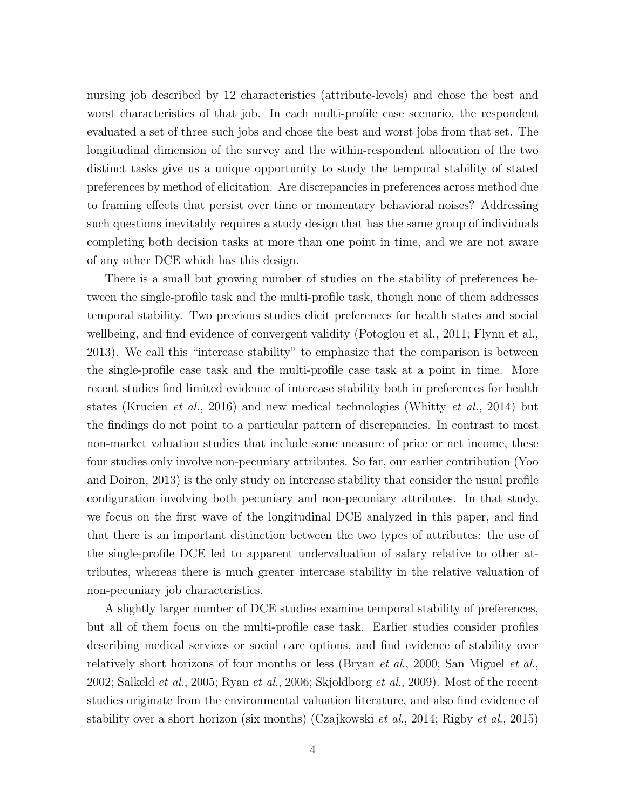nursing job described by 12 characteristics (attribute-levels) and chose the best and worst characteristics of that job. In each multi-profile case scenario, the respondent evaluated a set of three such jobs and chose the best and worst jobs from that set. The longitudinal dimension of the survey and the within-respondent allocation of the two distinct tasks give us a unique opportunity to study the temporal stability of stated preferences by method of elicitation. Are discrepancies in preferences across method due to framing effects that persist over time or momentary behavioral noises? Addressing such questions inevitably requires a study design that has the same group of individuals completing both decision tasks at more than one point in time, and we are not aware of any other DCE which has this design.

There is a small but growing number of studies on the stability of preferences between the single-profile task and the multi-profile task, though none of them addresses temporal stability. Two previous studies elicit preferences for health states and social wellbeing, and find evidence of convergent validity (Potoglou et al., 2011; Flynn et al., 2013). We call this "intercase stability" to emphasize that the comparison is between the single-profile case task and the multi-profile case task at a point in time. More recent studies find limited evidence of intercase stability both in preferences for health states (Krucien et al., 2016) and new medical technologies (Whitty et al., 2014) but the findings do not point to a particular pattern of discrepancies. In contrast to most non-market valuation studies that include some measure of price or net income, these four studies only involve non-pecuniary attributes. So far, our earlier contribution (Yoo and Doiron, 2013) is the only study on intercase stability that consider the usual profile configuration involving both pecuniary and non-pecuniary attributes. In that study, we focus on the first wave of the longitudinal DCE analyzed in this paper, and find that there is an important distinction between the two types of attributes: the use of the single-profile DCE led to apparent undervaluation of salary relative to other attributes, whereas there is much greater intercase stability in the relative valuation of non-pecuniary job characteristics.

A slightly larger number of DCE studies examine temporal stability of preferences, but all of them focus on the multi-profile case task. Earlier studies consider profiles describing medical services or social care options, and find evidence of stability over relatively short horizons of four months or less (Bryan *et al.*, 2000; San Miguel *et al.*, 2002; Salkeld et al., 2005; Ryan et al., 2006; Skjoldborg et al., 2009). Most of the recent studies originate from the environmental valuation literature, and also find evidence of stability over a short horizon (six months) (Czajkowski et al., 2014; Rigby et al., 2015)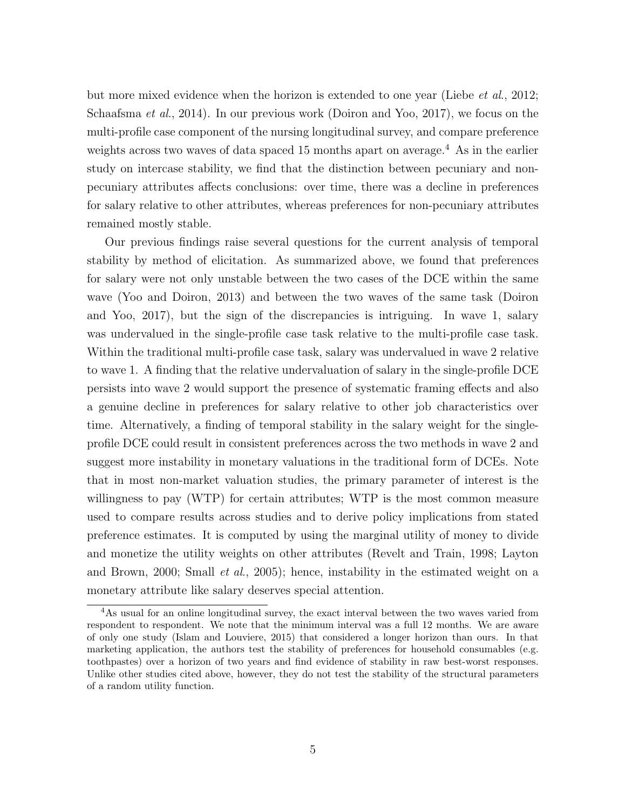but more mixed evidence when the horizon is extended to one year (Liebe *et al.*, 2012; Schaafsma et al., 2014). In our previous work (Doiron and Yoo, 2017), we focus on the multi-profile case component of the nursing longitudinal survey, and compare preference weights across two waves of data spaced 15 months apart on average.<sup>4</sup> As in the earlier study on intercase stability, we find that the distinction between pecuniary and nonpecuniary attributes affects conclusions: over time, there was a decline in preferences for salary relative to other attributes, whereas preferences for non-pecuniary attributes remained mostly stable.

Our previous findings raise several questions for the current analysis of temporal stability by method of elicitation. As summarized above, we found that preferences for salary were not only unstable between the two cases of the DCE within the same wave (Yoo and Doiron, 2013) and between the two waves of the same task (Doiron and Yoo, 2017), but the sign of the discrepancies is intriguing. In wave 1, salary was undervalued in the single-profile case task relative to the multi-profile case task. Within the traditional multi-profile case task, salary was undervalued in wave 2 relative to wave 1. A finding that the relative undervaluation of salary in the single-profile DCE persists into wave 2 would support the presence of systematic framing effects and also a genuine decline in preferences for salary relative to other job characteristics over time. Alternatively, a finding of temporal stability in the salary weight for the singleprofile DCE could result in consistent preferences across the two methods in wave 2 and suggest more instability in monetary valuations in the traditional form of DCEs. Note that in most non-market valuation studies, the primary parameter of interest is the willingness to pay (WTP) for certain attributes; WTP is the most common measure used to compare results across studies and to derive policy implications from stated preference estimates. It is computed by using the marginal utility of money to divide and monetize the utility weights on other attributes (Revelt and Train, 1998; Layton and Brown, 2000; Small et al., 2005); hence, instability in the estimated weight on a monetary attribute like salary deserves special attention.

<sup>&</sup>lt;sup>4</sup>As usual for an online longitudinal survey, the exact interval between the two waves varied from respondent to respondent. We note that the minimum interval was a full 12 months. We are aware of only one study (Islam and Louviere, 2015) that considered a longer horizon than ours. In that marketing application, the authors test the stability of preferences for household consumables (e.g. toothpastes) over a horizon of two years and find evidence of stability in raw best-worst responses. Unlike other studies cited above, however, they do not test the stability of the structural parameters of a random utility function.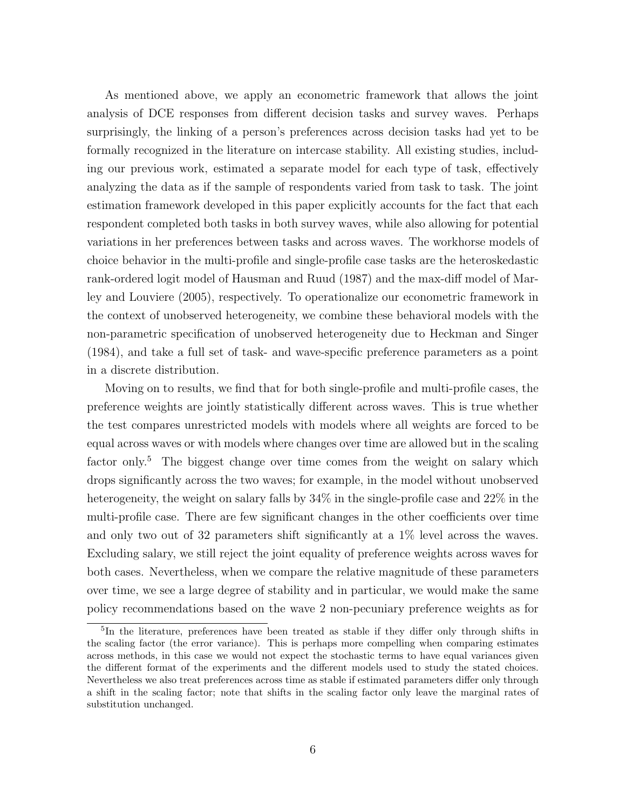As mentioned above, we apply an econometric framework that allows the joint analysis of DCE responses from different decision tasks and survey waves. Perhaps surprisingly, the linking of a person's preferences across decision tasks had yet to be formally recognized in the literature on intercase stability. All existing studies, including our previous work, estimated a separate model for each type of task, effectively analyzing the data as if the sample of respondents varied from task to task. The joint estimation framework developed in this paper explicitly accounts for the fact that each respondent completed both tasks in both survey waves, while also allowing for potential variations in her preferences between tasks and across waves. The workhorse models of choice behavior in the multi-profile and single-profile case tasks are the heteroskedastic rank-ordered logit model of Hausman and Ruud (1987) and the max-diff model of Marley and Louviere (2005), respectively. To operationalize our econometric framework in the context of unobserved heterogeneity, we combine these behavioral models with the non-parametric specification of unobserved heterogeneity due to Heckman and Singer (1984), and take a full set of task- and wave-specific preference parameters as a point in a discrete distribution.

Moving on to results, we find that for both single-profile and multi-profile cases, the preference weights are jointly statistically different across waves. This is true whether the test compares unrestricted models with models where all weights are forced to be equal across waves or with models where changes over time are allowed but in the scaling factor only.<sup>5</sup> The biggest change over time comes from the weight on salary which drops significantly across the two waves; for example, in the model without unobserved heterogeneity, the weight on salary falls by  $34\%$  in the single-profile case and  $22\%$  in the multi-profile case. There are few significant changes in the other coefficients over time and only two out of 32 parameters shift significantly at a 1% level across the waves. Excluding salary, we still reject the joint equality of preference weights across waves for both cases. Nevertheless, when we compare the relative magnitude of these parameters over time, we see a large degree of stability and in particular, we would make the same policy recommendations based on the wave 2 non-pecuniary preference weights as for

<sup>&</sup>lt;sup>5</sup>In the literature, preferences have been treated as stable if they differ only through shifts in the scaling factor (the error variance). This is perhaps more compelling when comparing estimates across methods, in this case we would not expect the stochastic terms to have equal variances given the different format of the experiments and the different models used to study the stated choices. Nevertheless we also treat preferences across time as stable if estimated parameters differ only through a shift in the scaling factor; note that shifts in the scaling factor only leave the marginal rates of substitution unchanged.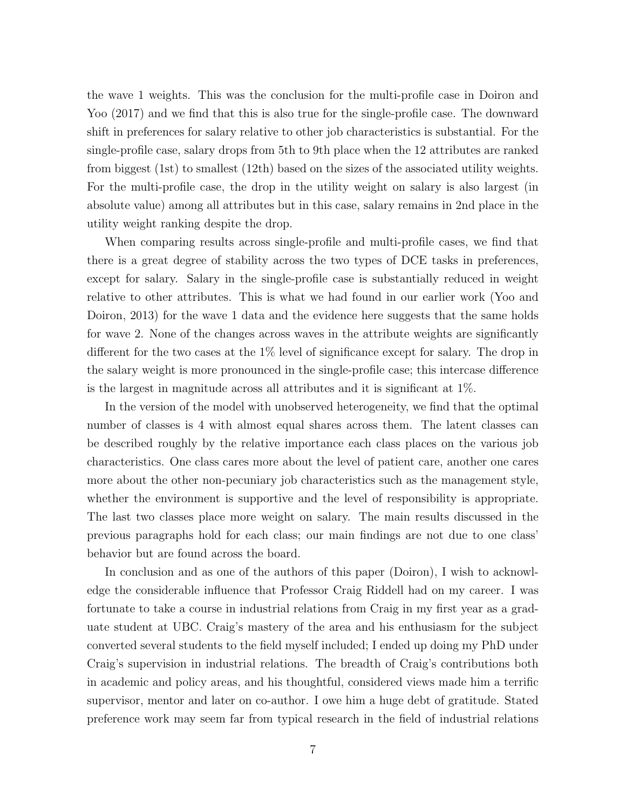the wave 1 weights. This was the conclusion for the multi-profile case in Doiron and Yoo (2017) and we find that this is also true for the single-profile case. The downward shift in preferences for salary relative to other job characteristics is substantial. For the single-profile case, salary drops from 5th to 9th place when the 12 attributes are ranked from biggest (1st) to smallest (12th) based on the sizes of the associated utility weights. For the multi-profile case, the drop in the utility weight on salary is also largest (in absolute value) among all attributes but in this case, salary remains in 2nd place in the utility weight ranking despite the drop.

When comparing results across single-profile and multi-profile cases, we find that there is a great degree of stability across the two types of DCE tasks in preferences, except for salary. Salary in the single-profile case is substantially reduced in weight relative to other attributes. This is what we had found in our earlier work (Yoo and Doiron, 2013) for the wave 1 data and the evidence here suggests that the same holds for wave 2. None of the changes across waves in the attribute weights are significantly different for the two cases at the 1% level of significance except for salary. The drop in the salary weight is more pronounced in the single-profile case; this intercase difference is the largest in magnitude across all attributes and it is significant at 1%.

In the version of the model with unobserved heterogeneity, we find that the optimal number of classes is 4 with almost equal shares across them. The latent classes can be described roughly by the relative importance each class places on the various job characteristics. One class cares more about the level of patient care, another one cares more about the other non-pecuniary job characteristics such as the management style, whether the environment is supportive and the level of responsibility is appropriate. The last two classes place more weight on salary. The main results discussed in the previous paragraphs hold for each class; our main findings are not due to one class' behavior but are found across the board.

In conclusion and as one of the authors of this paper (Doiron), I wish to acknowledge the considerable influence that Professor Craig Riddell had on my career. I was fortunate to take a course in industrial relations from Craig in my first year as a graduate student at UBC. Craig's mastery of the area and his enthusiasm for the subject converted several students to the field myself included; I ended up doing my PhD under Craig's supervision in industrial relations. The breadth of Craig's contributions both in academic and policy areas, and his thoughtful, considered views made him a terrific supervisor, mentor and later on co-author. I owe him a huge debt of gratitude. Stated preference work may seem far from typical research in the field of industrial relations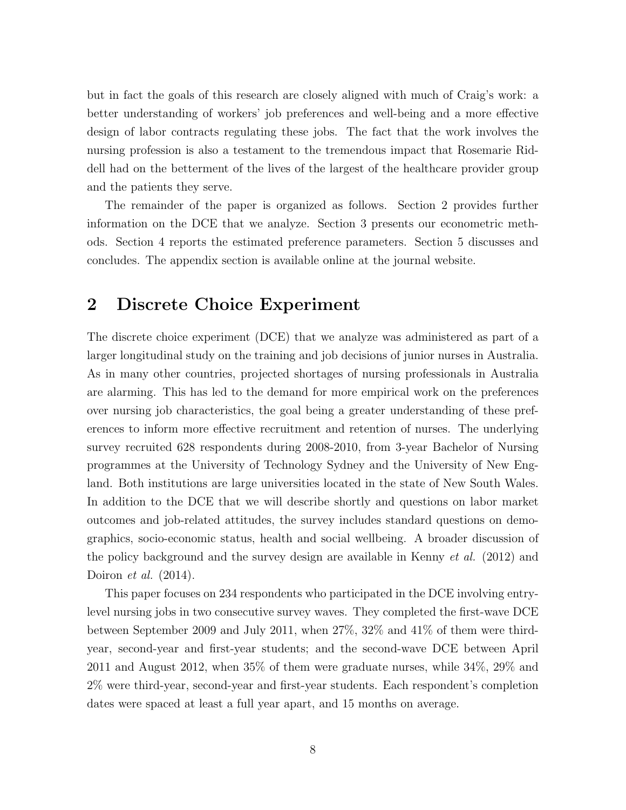but in fact the goals of this research are closely aligned with much of Craig's work: a better understanding of workers' job preferences and well-being and a more effective design of labor contracts regulating these jobs. The fact that the work involves the nursing profession is also a testament to the tremendous impact that Rosemarie Riddell had on the betterment of the lives of the largest of the healthcare provider group and the patients they serve.

The remainder of the paper is organized as follows. Section 2 provides further information on the DCE that we analyze. Section 3 presents our econometric methods. Section 4 reports the estimated preference parameters. Section 5 discusses and concludes. The appendix section is available online at the journal website.

#### 2 Discrete Choice Experiment

The discrete choice experiment (DCE) that we analyze was administered as part of a larger longitudinal study on the training and job decisions of junior nurses in Australia. As in many other countries, projected shortages of nursing professionals in Australia are alarming. This has led to the demand for more empirical work on the preferences over nursing job characteristics, the goal being a greater understanding of these preferences to inform more effective recruitment and retention of nurses. The underlying survey recruited 628 respondents during 2008-2010, from 3-year Bachelor of Nursing programmes at the University of Technology Sydney and the University of New England. Both institutions are large universities located in the state of New South Wales. In addition to the DCE that we will describe shortly and questions on labor market outcomes and job-related attitudes, the survey includes standard questions on demographics, socio-economic status, health and social wellbeing. A broader discussion of the policy background and the survey design are available in Kenny et al. (2012) and Doiron et al. (2014).

This paper focuses on 234 respondents who participated in the DCE involving entrylevel nursing jobs in two consecutive survey waves. They completed the first-wave DCE between September 2009 and July 2011, when 27%, 32% and 41% of them were thirdyear, second-year and first-year students; and the second-wave DCE between April 2011 and August 2012, when 35% of them were graduate nurses, while 34%, 29% and 2% were third-year, second-year and first-year students. Each respondent's completion dates were spaced at least a full year apart, and 15 months on average.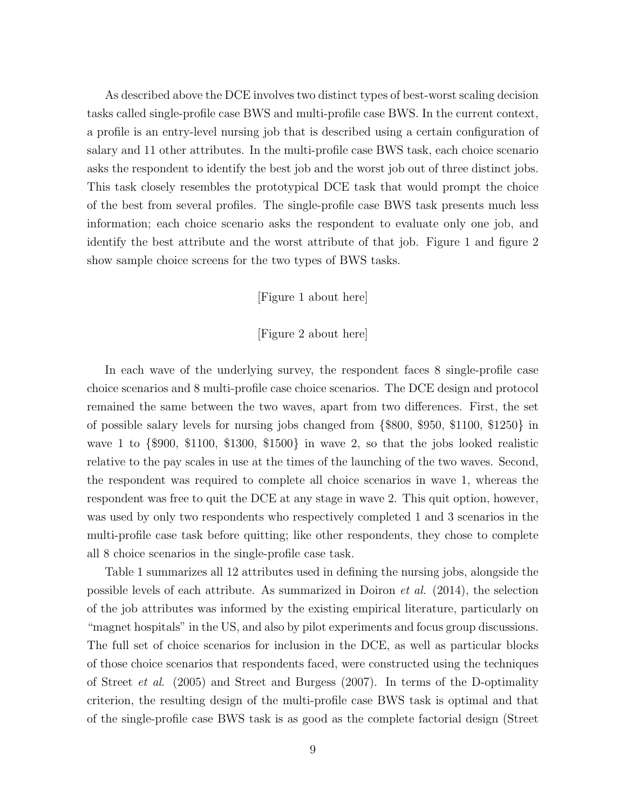As described above the DCE involves two distinct types of best-worst scaling decision tasks called single-profile case BWS and multi-profile case BWS. In the current context, a profile is an entry-level nursing job that is described using a certain configuration of salary and 11 other attributes. In the multi-profile case BWS task, each choice scenario asks the respondent to identify the best job and the worst job out of three distinct jobs. This task closely resembles the prototypical DCE task that would prompt the choice of the best from several profiles. The single-profile case BWS task presents much less information; each choice scenario asks the respondent to evaluate only one job, and identify the best attribute and the worst attribute of that job. Figure 1 and figure 2 show sample choice screens for the two types of BWS tasks.

#### [Figure 1 about here]

#### [Figure 2 about here]

In each wave of the underlying survey, the respondent faces 8 single-profile case choice scenarios and 8 multi-profile case choice scenarios. The DCE design and protocol remained the same between the two waves, apart from two differences. First, the set of possible salary levels for nursing jobs changed from {\$800, \$950, \$1100, \$1250} in wave 1 to {\$900, \$1100, \$1300, \$1500} in wave 2, so that the jobs looked realistic relative to the pay scales in use at the times of the launching of the two waves. Second, the respondent was required to complete all choice scenarios in wave 1, whereas the respondent was free to quit the DCE at any stage in wave 2. This quit option, however, was used by only two respondents who respectively completed 1 and 3 scenarios in the multi-profile case task before quitting; like other respondents, they chose to complete all 8 choice scenarios in the single-profile case task.

Table 1 summarizes all 12 attributes used in defining the nursing jobs, alongside the possible levels of each attribute. As summarized in Doiron *et al.*  $(2014)$ , the selection of the job attributes was informed by the existing empirical literature, particularly on "magnet hospitals" in the US, and also by pilot experiments and focus group discussions. The full set of choice scenarios for inclusion in the DCE, as well as particular blocks of those choice scenarios that respondents faced, were constructed using the techniques of Street et al. (2005) and Street and Burgess (2007). In terms of the D-optimality criterion, the resulting design of the multi-profile case BWS task is optimal and that of the single-profile case BWS task is as good as the complete factorial design (Street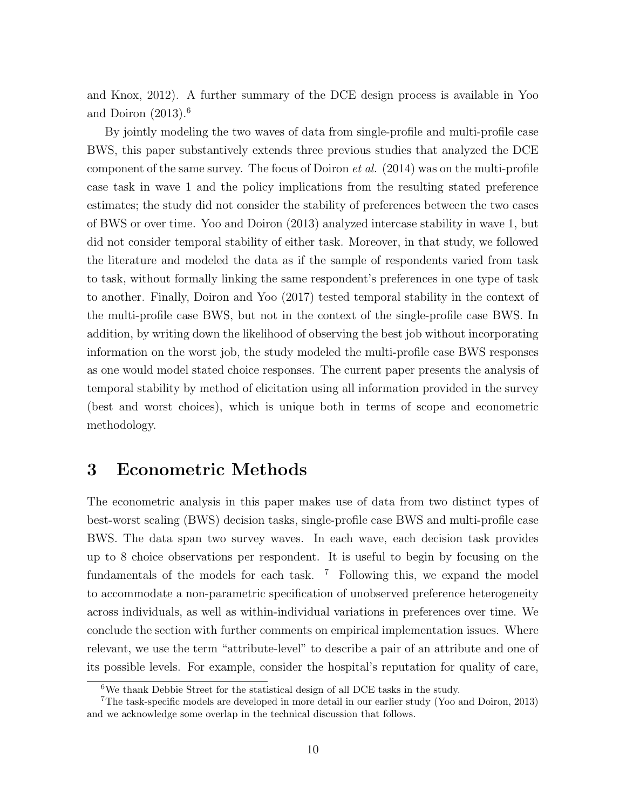and Knox, 2012). A further summary of the DCE design process is available in Yoo and Doiron (2013).<sup>6</sup>

By jointly modeling the two waves of data from single-profile and multi-profile case BWS, this paper substantively extends three previous studies that analyzed the DCE component of the same survey. The focus of Doiron  $et al.$  (2014) was on the multi-profile case task in wave 1 and the policy implications from the resulting stated preference estimates; the study did not consider the stability of preferences between the two cases of BWS or over time. Yoo and Doiron (2013) analyzed intercase stability in wave 1, but did not consider temporal stability of either task. Moreover, in that study, we followed the literature and modeled the data as if the sample of respondents varied from task to task, without formally linking the same respondent's preferences in one type of task to another. Finally, Doiron and Yoo (2017) tested temporal stability in the context of the multi-profile case BWS, but not in the context of the single-profile case BWS. In addition, by writing down the likelihood of observing the best job without incorporating information on the worst job, the study modeled the multi-profile case BWS responses as one would model stated choice responses. The current paper presents the analysis of temporal stability by method of elicitation using all information provided in the survey (best and worst choices), which is unique both in terms of scope and econometric methodology.

#### 3 Econometric Methods

The econometric analysis in this paper makes use of data from two distinct types of best-worst scaling (BWS) decision tasks, single-profile case BWS and multi-profile case BWS. The data span two survey waves. In each wave, each decision task provides up to 8 choice observations per respondent. It is useful to begin by focusing on the fundamentals of the models for each task.  $7$  Following this, we expand the model to accommodate a non-parametric specification of unobserved preference heterogeneity across individuals, as well as within-individual variations in preferences over time. We conclude the section with further comments on empirical implementation issues. Where relevant, we use the term "attribute-level" to describe a pair of an attribute and one of its possible levels. For example, consider the hospital's reputation for quality of care,

 $6$ We thank Debbie Street for the statistical design of all DCE tasks in the study.

<sup>7</sup>The task-specific models are developed in more detail in our earlier study (Yoo and Doiron, 2013) and we acknowledge some overlap in the technical discussion that follows.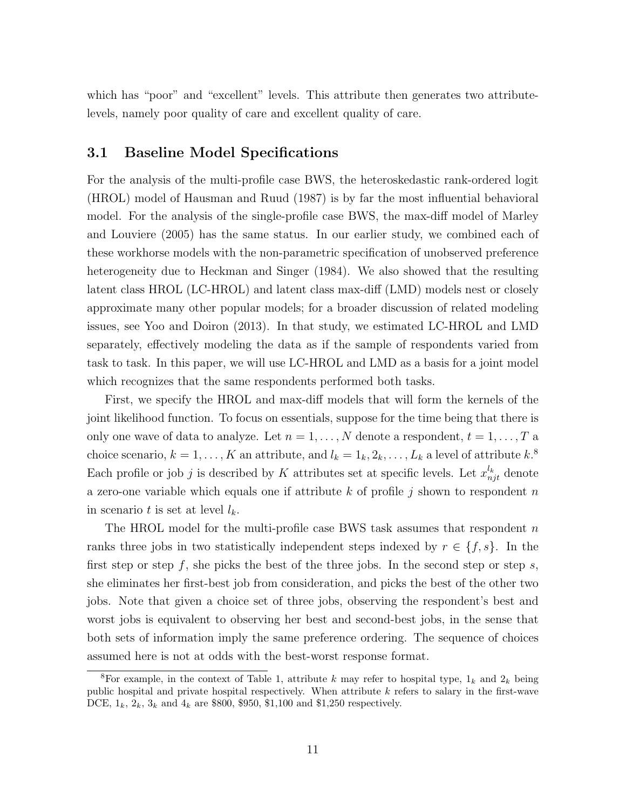which has "poor" and "excellent" levels. This attribute then generates two attributelevels, namely poor quality of care and excellent quality of care.

#### 3.1 Baseline Model Specifications

For the analysis of the multi-profile case BWS, the heteroskedastic rank-ordered logit (HROL) model of Hausman and Ruud (1987) is by far the most influential behavioral model. For the analysis of the single-profile case BWS, the max-diff model of Marley and Louviere (2005) has the same status. In our earlier study, we combined each of these workhorse models with the non-parametric specification of unobserved preference heterogeneity due to Heckman and Singer (1984). We also showed that the resulting latent class HROL (LC-HROL) and latent class max-diff (LMD) models nest or closely approximate many other popular models; for a broader discussion of related modeling issues, see Yoo and Doiron (2013). In that study, we estimated LC-HROL and LMD separately, effectively modeling the data as if the sample of respondents varied from task to task. In this paper, we will use LC-HROL and LMD as a basis for a joint model which recognizes that the same respondents performed both tasks.

First, we specify the HROL and max-diff models that will form the kernels of the joint likelihood function. To focus on essentials, suppose for the time being that there is only one wave of data to analyze. Let  $n = 1, \ldots, N$  denote a respondent,  $t = 1, \ldots, T$  a choice scenario,  $k = 1, ..., K$  an attribute, and  $l_k = 1_k, 2_k, ..., L_k$  a level of attribute  $k$ <sup>8</sup> Each profile or job j is described by K attributes set at specific levels. Let  $x_{njt}^{l_k}$  denote a zero-one variable which equals one if attribute k of profile j shown to respondent n in scenario t is set at level  $l_k$ .

The HROL model for the multi-profile case BWS task assumes that respondent n ranks three jobs in two statistically independent steps indexed by  $r \in \{f, s\}$ . In the first step or step f, she picks the best of the three jobs. In the second step or step s, she eliminates her first-best job from consideration, and picks the best of the other two jobs. Note that given a choice set of three jobs, observing the respondent's best and worst jobs is equivalent to observing her best and second-best jobs, in the sense that both sets of information imply the same preference ordering. The sequence of choices assumed here is not at odds with the best-worst response format.

<sup>&</sup>lt;sup>8</sup>For example, in the context of Table 1, attribute k may refer to hospital type,  $1_k$  and  $2_k$  being public hospital and private hospital respectively. When attribute  $k$  refers to salary in the first-wave DCE,  $1_k$ ,  $2_k$ ,  $3_k$  and  $4_k$  are \$800, \$950, \$1,100 and \$1,250 respectively.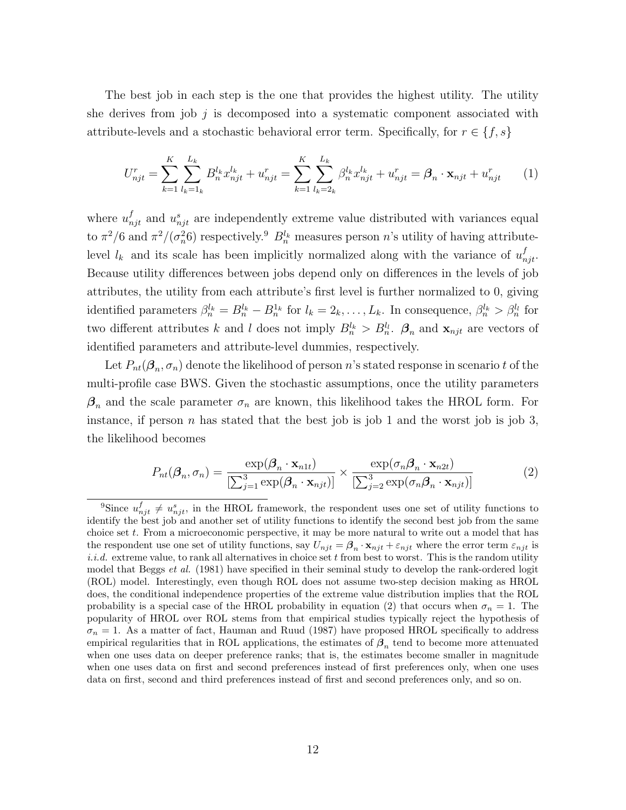The best job in each step is the one that provides the highest utility. The utility she derives from job  $j$  is decomposed into a systematic component associated with attribute-levels and a stochastic behavioral error term. Specifically, for  $r \in \{f, s\}$ 

$$
U_{njt}^r = \sum_{k=1}^K \sum_{l_k=1}^{L_k} B_n^{l_k} x_{njt}^{l_k} + u_{njt}^r = \sum_{k=1}^K \sum_{l_k=2_k}^{L_k} \beta_n^{l_k} x_{njt}^{l_k} + u_{njt}^r = \beta_n \cdot \mathbf{x}_{njt} + u_{njt}^r \tag{1}
$$

where  $u_{njt}^f$  and  $u_{njt}^s$  are independently extreme value distributed with variances equal to  $\pi^2/6$  and  $\pi^2/(\sigma_n^2 6)$  respectively.<sup>9</sup>  $B_n^{l_k}$  measures person n's utility of having attributelevel  $l_k$  and its scale has been implicitly normalized along with the variance of  $u_{nji}^f$ . Because utility differences between jobs depend only on differences in the levels of job attributes, the utility from each attribute's first level is further normalized to 0, giving identified parameters  $\beta_n^{l_k} = B_n^{l_k} - B_n^{1_k}$  for  $l_k = 2_k, \ldots, L_k$ . In consequence,  $\beta_n^{l_k} > \beta_n^{l_l}$  for two different attributes k and l does not imply  $B_n^{l_k} > B_n^{l_l}$ .  $\mathcal{B}_n$  and  $\mathbf{x}_{njt}$  are vectors of identified parameters and attribute-level dummies, respectively.

Let  $P_{nt}(\beta_n, \sigma_n)$  denote the likelihood of person n's stated response in scenario t of the multi-profile case BWS. Given the stochastic assumptions, once the utility parameters  $\beta_n$  and the scale parameter  $\sigma_n$  are known, this likelihood takes the HROL form. For instance, if person *n* has stated that the best job is job 1 and the worst job is job 3, the likelihood becomes

$$
P_{nt}(\boldsymbol{\beta}_n, \sigma_n) = \frac{\exp(\boldsymbol{\beta}_n \cdot \mathbf{x}_{n1t})}{\left[\sum_{j=1}^3 \exp(\boldsymbol{\beta}_n \cdot \mathbf{x}_{njt})\right]} \times \frac{\exp(\sigma_n \boldsymbol{\beta}_n \cdot \mathbf{x}_{n2t})}{\left[\sum_{j=2}^3 \exp(\sigma_n \boldsymbol{\beta}_n \cdot \mathbf{x}_{njt})\right]}
$$
(2)

<sup>&</sup>lt;sup>9</sup>Since  $u_{njt}^f \neq u_{njt}^s$ , in the HROL framework, the respondent uses one set of utility functions to identify the best job and another set of utility functions to identify the second best job from the same choice set  $t$ . From a microeconomic perspective, it may be more natural to write out a model that has the respondent use one set of utility functions, say  $U_{njt} = \beta_n \cdot \mathbf{x}_{njt} + \varepsilon_{njt}$  where the error term  $\varepsilon_{njt}$  is  $i.i.d.$  extreme value, to rank all alternatives in choice set  $t$  from best to worst. This is the random utility model that Beggs *et al.* (1981) have specified in their seminal study to develop the rank-ordered logit (ROL) model. Interestingly, even though ROL does not assume two-step decision making as HROL does, the conditional independence properties of the extreme value distribution implies that the ROL probability is a special case of the HROL probability in equation (2) that occurs when  $\sigma_n = 1$ . The popularity of HROL over ROL stems from that empirical studies typically reject the hypothesis of  $\sigma_n = 1$ . As a matter of fact, Hauman and Ruud (1987) have proposed HROL specifically to address empirical regularities that in ROL applications, the estimates of  $\beta_n$  tend to become more attenuated when one uses data on deeper preference ranks; that is, the estimates become smaller in magnitude when one uses data on first and second preferences instead of first preferences only, when one uses data on first, second and third preferences instead of first and second preferences only, and so on.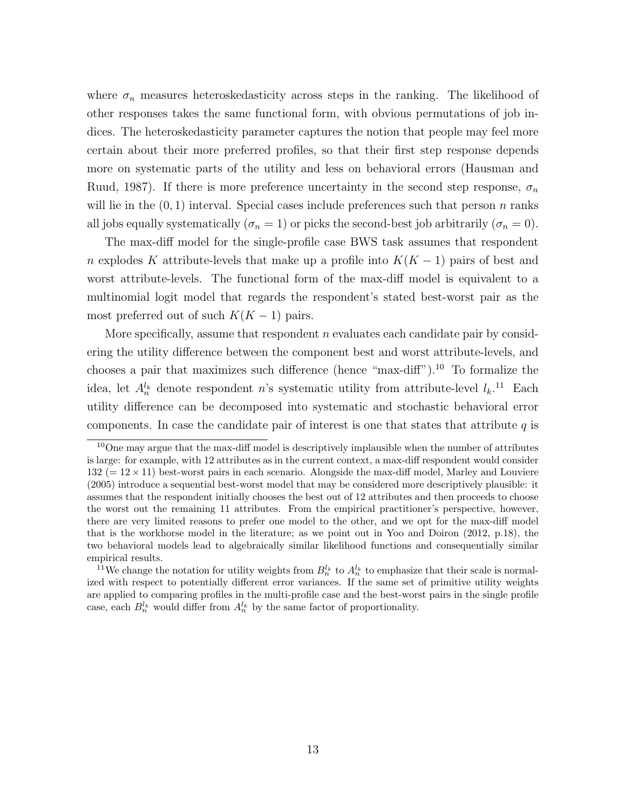where  $\sigma_n$  measures heteroskedasticity across steps in the ranking. The likelihood of other responses takes the same functional form, with obvious permutations of job indices. The heteroskedasticity parameter captures the notion that people may feel more certain about their more preferred profiles, so that their first step response depends more on systematic parts of the utility and less on behavioral errors (Hausman and Ruud, 1987). If there is more preference uncertainty in the second step response,  $\sigma_n$ will lie in the  $(0, 1)$  interval. Special cases include preferences such that person n ranks all jobs equally systematically ( $\sigma_n = 1$ ) or picks the second-best job arbitrarily ( $\sigma_n = 0$ ).

The max-diff model for the single-profile case BWS task assumes that respondent n explodes K attribute-levels that make up a profile into  $K(K-1)$  pairs of best and worst attribute-levels. The functional form of the max-diff model is equivalent to a multinomial logit model that regards the respondent's stated best-worst pair as the most preferred out of such  $K(K-1)$  pairs.

More specifically, assume that respondent  $n$  evaluates each candidate pair by considering the utility difference between the component best and worst attribute-levels, and chooses a pair that maximizes such difference (hence "max-diff").<sup>10</sup> To formalize the idea, let  $A_n^{l_k}$  denote respondent n's systematic utility from attribute-level  $l_k$ .<sup>11</sup> Each utility difference can be decomposed into systematic and stochastic behavioral error components. In case the candidate pair of interest is one that states that attribute  $q$  is

<sup>&</sup>lt;sup>10</sup>One may argue that the max-diff model is descriptively implausible when the number of attributes is large: for example, with 12 attributes as in the current context, a max-diff respondent would consider  $132 (= 12 \times 11)$  best-worst pairs in each scenario. Alongside the max-diff model, Marley and Louviere (2005) introduce a sequential best-worst model that may be considered more descriptively plausible: it assumes that the respondent initially chooses the best out of 12 attributes and then proceeds to choose the worst out the remaining 11 attributes. From the empirical practitioner's perspective, however, there are very limited reasons to prefer one model to the other, and we opt for the max-diff model that is the workhorse model in the literature; as we point out in Yoo and Doiron (2012, p.18), the two behavioral models lead to algebraically similar likelihood functions and consequentially similar empirical results.

<sup>&</sup>lt;sup>11</sup>We change the notation for utility weights from  $B_n^{l_k}$  to  $A_n^{l_k}$  to emphasize that their scale is normalized with respect to potentially different error variances. If the same set of primitive utility weights are applied to comparing profiles in the multi-profile case and the best-worst pairs in the single profile case, each  $B_n^{l_k}$  would differ from  $A_n^{l_k}$  by the same factor of proportionality.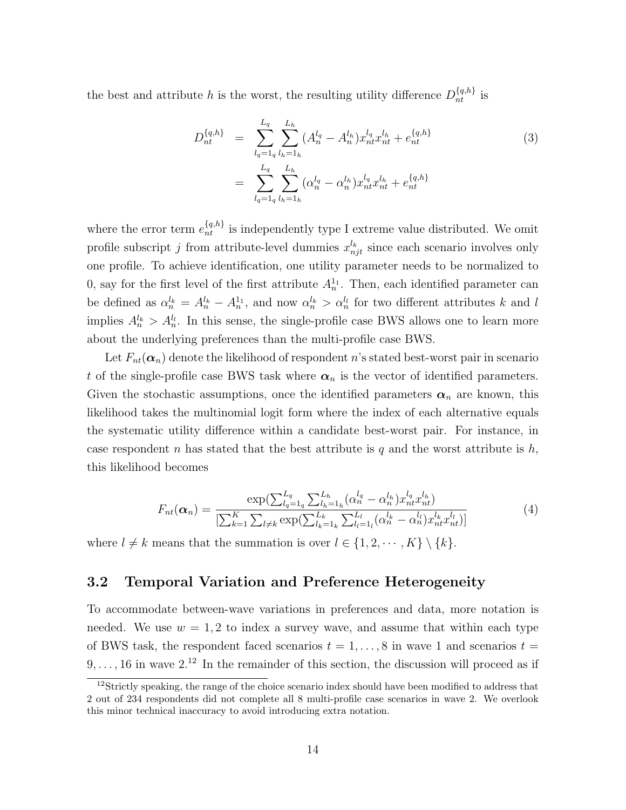the best and attribute h is the worst, the resulting utility difference  $D_{nt}^{\{q,h\}}$  is

$$
D_{nt}^{\{q,h\}} = \sum_{l_q=1_q}^{L_q} \sum_{l_h=1_h}^{L_h} (A_n^{l_q} - A_n^{l_h}) x_{nt}^{l_q} x_{nt}^{l_h} + e_{nt}^{\{q,h\}}
$$
  

$$
= \sum_{l_q=1_q}^{L_q} \sum_{l_h=1_h}^{L_h} (\alpha_n^{l_q} - \alpha_n^{l_h}) x_{nt}^{l_q} x_{nt}^{l_h} + e_{nt}^{\{q,h\}}
$$

$$
(3)
$$

where the error term  $e_{nt}^{\{q,h\}}$  is independently type I extreme value distributed. We omit profile subscript j from attribute-level dummies  $x_{njt}^{l_k}$  since each scenario involves only one profile. To achieve identification, one utility parameter needs to be normalized to 0, say for the first level of the first attribute  $A_n^{1_1}$ . Then, each identified parameter can be defined as  $\alpha_n^{l_k} = A_n^{l_k} - A_n^{l_1}$ , and now  $\alpha_n^{l_k} > \alpha_n^{l_l}$  for two different attributes k and l implies  $A_n^{l_k} > A_n^{l_l}$ . In this sense, the single-profile case BWS allows one to learn more about the underlying preferences than the multi-profile case BWS.

Let  $F_{nt}(\boldsymbol{\alpha}_n)$  denote the likelihood of respondent n's stated best-worst pair in scenario t of the single-profile case BWS task where  $\alpha_n$  is the vector of identified parameters. Given the stochastic assumptions, once the identified parameters  $\alpha_n$  are known, this likelihood takes the multinomial logit form where the index of each alternative equals the systematic utility difference within a candidate best-worst pair. For instance, in case respondent n has stated that the best attribute is q and the worst attribute is  $h$ , this likelihood becomes

$$
F_{nt}(\alpha_n) = \frac{\exp(\sum_{l_q=1}^{L_q} \sum_{l_h=1}^{L_h} (\alpha_n^{l_q} - \alpha_n^{l_h}) x_{nt}^{l_q} x_{nt}^{l_h})}{[\sum_{k=1}^{K} \sum_{l \neq k} \exp(\sum_{l_k=1}^{L_k} \sum_{l_l=1}^{L_l} (\alpha_n^{l_k} - \alpha_n^{l_l}) x_{nt}^{l_k} x_{nt}^{l_l})]} \tag{4}
$$

where  $l \neq k$  means that the summation is over  $l \in \{1, 2, \dots, K\} \setminus \{k\}.$ 

#### 3.2 Temporal Variation and Preference Heterogeneity

To accommodate between-wave variations in preferences and data, more notation is needed. We use  $w = 1, 2$  to index a survey wave, and assume that within each type of BWS task, the respondent faced scenarios  $t = 1, \ldots, 8$  in wave 1 and scenarios  $t =$  $9, \ldots, 16$  in wave  $2^{12}$  In the remainder of this section, the discussion will proceed as if

 $12$ Strictly speaking, the range of the choice scenario index should have been modified to address that 2 out of 234 respondents did not complete all 8 multi-profile case scenarios in wave 2. We overlook this minor technical inaccuracy to avoid introducing extra notation.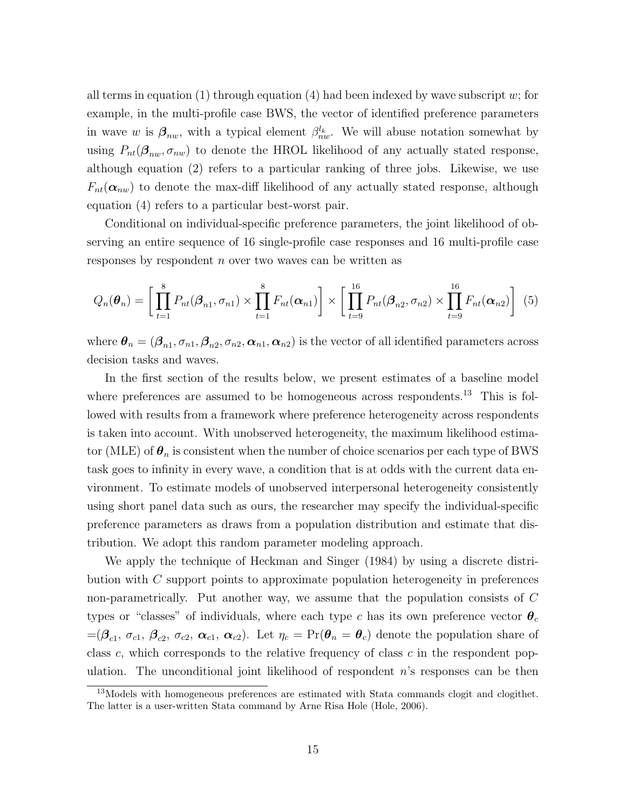all terms in equation (1) through equation (4) had been indexed by wave subscript  $w$ ; for example, in the multi-profile case BWS, the vector of identified preference parameters in wave w is  $\beta_{nw}$ , with a typical element  $\beta_{nw}^{l_k}$ . We will abuse notation somewhat by using  $P_{nt}(\beta_{nw}, \sigma_{nw})$  to denote the HROL likelihood of any actually stated response, although equation (2) refers to a particular ranking of three jobs. Likewise, we use  $F_{nt}(\boldsymbol{\alpha}_{nw})$  to denote the max-diff likelihood of any actually stated response, although equation (4) refers to a particular best-worst pair.

Conditional on individual-specific preference parameters, the joint likelihood of observing an entire sequence of 16 single-profile case responses and 16 multi-profile case responses by respondent n over two waves can be written as

$$
Q_n(\boldsymbol{\theta}_n) = \left[ \prod_{t=1}^8 P_{nt}(\boldsymbol{\beta}_{n1}, \sigma_{n1}) \times \prod_{t=1}^8 F_{nt}(\boldsymbol{\alpha}_{n1}) \right] \times \left[ \prod_{t=9}^{16} P_{nt}(\boldsymbol{\beta}_{n2}, \sigma_{n2}) \times \prod_{t=9}^{16} F_{nt}(\boldsymbol{\alpha}_{n2}) \right] (5)
$$

where  $\bm{\theta}_n = (\bm{\beta}_{n1}, \sigma_{n1}, \bm{\beta}_{n2}, \sigma_{n2}, \bm{\alpha}_{n1}, \bm{\alpha}_{n2})$  is the vector of all identified parameters across decision tasks and waves.

In the first section of the results below, we present estimates of a baseline model where preferences are assumed to be homogeneous across respondents.<sup>13</sup> This is followed with results from a framework where preference heterogeneity across respondents is taken into account. With unobserved heterogeneity, the maximum likelihood estimator (MLE) of  $\theta_n$  is consistent when the number of choice scenarios per each type of BWS task goes to infinity in every wave, a condition that is at odds with the current data environment. To estimate models of unobserved interpersonal heterogeneity consistently using short panel data such as ours, the researcher may specify the individual-specific preference parameters as draws from a population distribution and estimate that distribution. We adopt this random parameter modeling approach.

We apply the technique of Heckman and Singer (1984) by using a discrete distribution with C support points to approximate population heterogeneity in preferences non-parametrically. Put another way, we assume that the population consists of C types or "classes" of individuals, where each type c has its own preference vector  $\theta_c$  $=$  $(\beta_{c1}, \sigma_{c1}, \beta_{c2}, \sigma_{c2}, \alpha_{c1}, \alpha_{c2})$ . Let  $\eta_c$  = Pr $(\theta_n = \theta_c)$  denote the population share of class c, which corresponds to the relative frequency of class  $c$  in the respondent population. The unconditional joint likelihood of respondent  $n$ 's responses can be then

<sup>&</sup>lt;sup>13</sup>Models with homogeneous preferences are estimated with Stata commands clogit and clogithet. The latter is a user-written Stata command by Arne Risa Hole (Hole, 2006).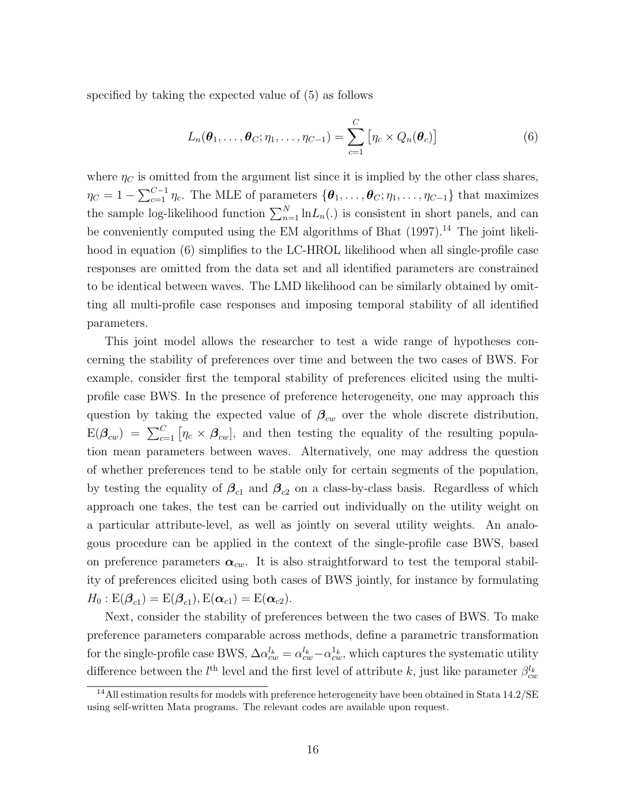specified by taking the expected value of (5) as follows

$$
L_n(\boldsymbol{\theta}_1,\ldots,\boldsymbol{\theta}_C;\eta_1,\ldots,\eta_{C-1})=\sum_{c=1}^C\left[\eta_c\times Q_n(\boldsymbol{\theta}_c)\right]
$$
(6)

where  $\eta_C$  is omitted from the argument list since it is implied by the other class shares,  $\eta_C = 1 - \sum_{c=1}^{C-1} \eta_c$ . The MLE of parameters  $\{\boldsymbol{\theta}_1, \ldots, \boldsymbol{\theta}_C; \eta_1, \ldots, \eta_{C-1}\}$  that maximizes the sample log-likelihood function  $\sum_{n=1}^{N} \ln L_n(.)$  is consistent in short panels, and can be conveniently computed using the EM algorithms of Bhat  $(1997)$ .<sup>14</sup> The joint likelihood in equation (6) simplifies to the LC-HROL likelihood when all single-profile case responses are omitted from the data set and all identified parameters are constrained to be identical between waves. The LMD likelihood can be similarly obtained by omitting all multi-profile case responses and imposing temporal stability of all identified parameters.

This joint model allows the researcher to test a wide range of hypotheses concerning the stability of preferences over time and between the two cases of BWS. For example, consider first the temporal stability of preferences elicited using the multiprofile case BWS. In the presence of preference heterogeneity, one may approach this question by taking the expected value of  $\beta_{cw}$  over the whole discrete distribution,  $E(\boldsymbol{\beta}_{cw}) = \sum_{c=1}^{C} [\eta_c \times \boldsymbol{\beta}_{cw}]$ , and then testing the equality of the resulting population mean parameters between waves. Alternatively, one may address the question of whether preferences tend to be stable only for certain segments of the population, by testing the equality of  $\beta_{c1}$  and  $\beta_{c2}$  on a class-by-class basis. Regardless of which approach one takes, the test can be carried out individually on the utility weight on a particular attribute-level, as well as jointly on several utility weights. An analogous procedure can be applied in the context of the single-profile case BWS, based on preference parameters  $\alpha_{cw}$ . It is also straightforward to test the temporal stability of preferences elicited using both cases of BWS jointly, for instance by formulating  $H_0: \text{E}(\boldsymbol{\beta}_{c1}) = \text{E}(\boldsymbol{\beta}_{c1}), \text{E}(\boldsymbol{\alpha}_{c1}) = \text{E}(\boldsymbol{\alpha}_{c2}).$ 

Next, consider the stability of preferences between the two cases of BWS. To make preference parameters comparable across methods, define a parametric transformation for the single-profile case BWS,  $\Delta \alpha_{cw}^{l_k} = \alpha_{cw}^{l_k} - \alpha_{cw}^{1_k}$ , which captures the systematic utility difference between the  $l^{\text{th}}$  level and the first level of attribute k, just like parameter  $\beta_{cw}^{l_k}$ 

<sup>&</sup>lt;sup>14</sup>All estimation results for models with preference heterogeneity have been obtained in Stata 14.2/SE using self-written Mata programs. The relevant codes are available upon request.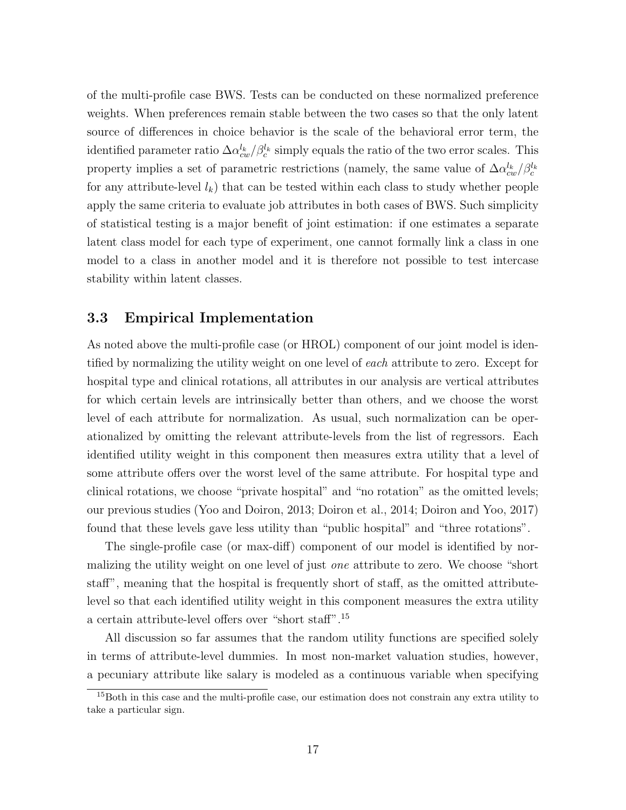of the multi-profile case BWS. Tests can be conducted on these normalized preference weights. When preferences remain stable between the two cases so that the only latent source of differences in choice behavior is the scale of the behavioral error term, the identified parameter ratio  $\Delta \alpha_{cw}^{l_k}/\beta_c^{l_k}$  simply equals the ratio of the two error scales. This property implies a set of parametric restrictions (namely, the same value of  $\Delta \alpha_{cw}^{l_k}/\beta_c^{l_k}$ for any attribute-level  $l_k$ ) that can be tested within each class to study whether people apply the same criteria to evaluate job attributes in both cases of BWS. Such simplicity of statistical testing is a major benefit of joint estimation: if one estimates a separate latent class model for each type of experiment, one cannot formally link a class in one model to a class in another model and it is therefore not possible to test intercase stability within latent classes.

#### 3.3 Empirical Implementation

As noted above the multi-profile case (or HROL) component of our joint model is identified by normalizing the utility weight on one level of each attribute to zero. Except for hospital type and clinical rotations, all attributes in our analysis are vertical attributes for which certain levels are intrinsically better than others, and we choose the worst level of each attribute for normalization. As usual, such normalization can be operationalized by omitting the relevant attribute-levels from the list of regressors. Each identified utility weight in this component then measures extra utility that a level of some attribute offers over the worst level of the same attribute. For hospital type and clinical rotations, we choose "private hospital" and "no rotation" as the omitted levels; our previous studies (Yoo and Doiron, 2013; Doiron et al., 2014; Doiron and Yoo, 2017) found that these levels gave less utility than "public hospital" and "three rotations".

The single-profile case (or max-diff) component of our model is identified by normalizing the utility weight on one level of just *one* attribute to zero. We choose "short staff", meaning that the hospital is frequently short of staff, as the omitted attributelevel so that each identified utility weight in this component measures the extra utility a certain attribute-level offers over "short staff".<sup>15</sup>

All discussion so far assumes that the random utility functions are specified solely in terms of attribute-level dummies. In most non-market valuation studies, however, a pecuniary attribute like salary is modeled as a continuous variable when specifying

<sup>&</sup>lt;sup>15</sup>Both in this case and the multi-profile case, our estimation does not constrain any extra utility to take a particular sign.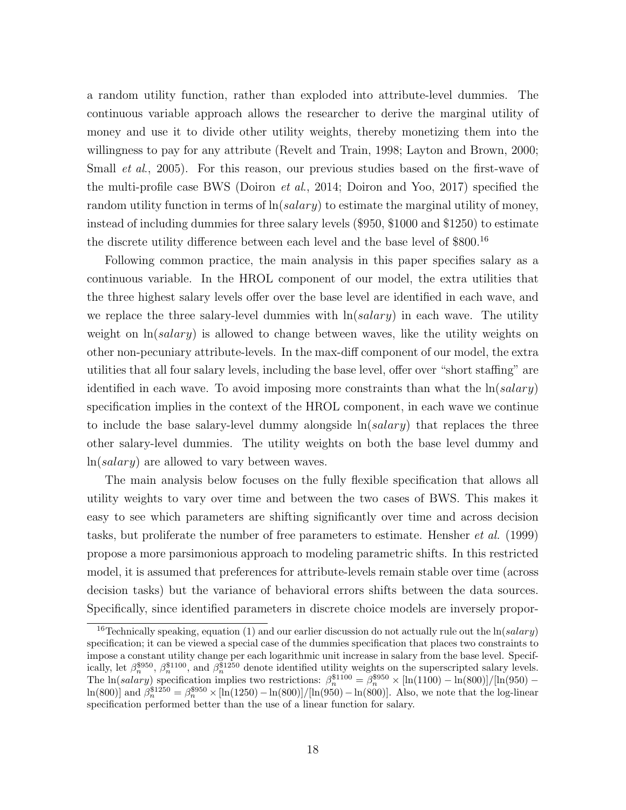a random utility function, rather than exploded into attribute-level dummies. The continuous variable approach allows the researcher to derive the marginal utility of money and use it to divide other utility weights, thereby monetizing them into the willingness to pay for any attribute (Revelt and Train, 1998; Layton and Brown, 2000; Small *et al.*, 2005). For this reason, our previous studies based on the first-wave of the multi-profile case BWS (Doiron et al., 2014; Doiron and Yoo, 2017) specified the random utility function in terms of  $\ln(salary)$  to estimate the marginal utility of money, instead of including dummies for three salary levels (\$950, \$1000 and \$1250) to estimate the discrete utility difference between each level and the base level of \$800.<sup>16</sup>

Following common practice, the main analysis in this paper specifies salary as a continuous variable. In the HROL component of our model, the extra utilities that the three highest salary levels offer over the base level are identified in each wave, and we replace the three salary-level dummies with  $\ln(salary)$  in each wave. The utility weight on  $ln(salary)$  is allowed to change between waves, like the utility weights on other non-pecuniary attribute-levels. In the max-diff component of our model, the extra utilities that all four salary levels, including the base level, offer over "short staffing" are identified in each wave. To avoid imposing more constraints than what the  $\ln(salary)$ specification implies in the context of the HROL component, in each wave we continue to include the base salary-level dummy alongside  $\ln(salary)$  that replaces the three other salary-level dummies. The utility weights on both the base level dummy and ln(salary) are allowed to vary between waves.

The main analysis below focuses on the fully flexible specification that allows all utility weights to vary over time and between the two cases of BWS. This makes it easy to see which parameters are shifting significantly over time and across decision tasks, but proliferate the number of free parameters to estimate. Hensher et al. (1999) propose a more parsimonious approach to modeling parametric shifts. In this restricted model, it is assumed that preferences for attribute-levels remain stable over time (across decision tasks) but the variance of behavioral errors shifts between the data sources. Specifically, since identified parameters in discrete choice models are inversely propor-

<sup>&</sup>lt;sup>16</sup>Technically speaking, equation (1) and our earlier discussion do not actually rule out the  $\ln(salary)$ specification; it can be viewed a special case of the dummies specification that places two constraints to impose a constant utility change per each logarithmic unit increase in salary from the base level. Specifically, let  $\beta_n^{\$950}$ ,  $\beta_n^{\$1100}$ , and  $\beta_n^{\$1250}$  denote identified utility weights on the superscripted salary levels. The ln(salary) specification implies two restrictions:  $\beta_n^{\$1100} = \beta_n^{\$950} \times [\ln(1100) - \ln(800)]/[\ln(950) \ln(800)$ ] and  $\beta_n^{\$1250} = \beta_n^{\$950} \times [\ln(1250) - \ln(800)]/[\ln(950) - \ln(800)]$ . Also, we note that the log-linear specification performed better than the use of a linear function for salary.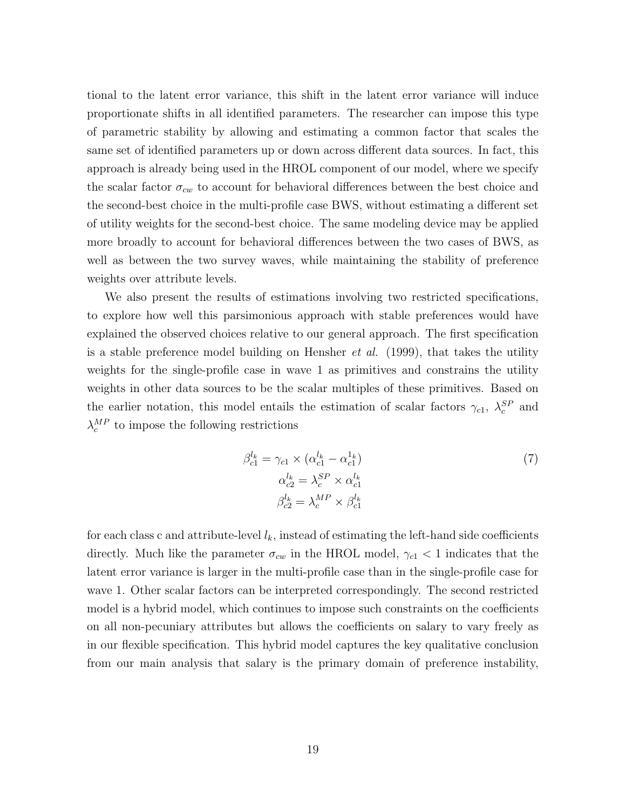tional to the latent error variance, this shift in the latent error variance will induce proportionate shifts in all identified parameters. The researcher can impose this type of parametric stability by allowing and estimating a common factor that scales the same set of identified parameters up or down across different data sources. In fact, this approach is already being used in the HROL component of our model, where we specify the scalar factor  $\sigma_{cw}$  to account for behavioral differences between the best choice and the second-best choice in the multi-profile case BWS, without estimating a different set of utility weights for the second-best choice. The same modeling device may be applied more broadly to account for behavioral differences between the two cases of BWS, as well as between the two survey waves, while maintaining the stability of preference weights over attribute levels.

We also present the results of estimations involving two restricted specifications, to explore how well this parsimonious approach with stable preferences would have explained the observed choices relative to our general approach. The first specification is a stable preference model building on Hensher *et al.* (1999), that takes the utility weights for the single-profile case in wave 1 as primitives and constrains the utility weights in other data sources to be the scalar multiples of these primitives. Based on the earlier notation, this model entails the estimation of scalar factors  $\gamma_{c1}$ ,  $\lambda_c^{SP}$  and  $\lambda_c^{MP}$  to impose the following restrictions

$$
\beta_{c1}^{l_k} = \gamma_{c1} \times (\alpha_{c1}^{l_k} - \alpha_{c1}^{l_k})
$$
  
\n
$$
\alpha_{c2}^{l_k} = \lambda_c^{SP} \times \alpha_{c1}^{l_k}
$$
  
\n
$$
\beta_{c2}^{l_k} = \lambda_c^{MP} \times \beta_{c1}^{l_k}
$$
\n(7)

for each class c and attribute-level  $l_k$ , instead of estimating the left-hand side coefficients directly. Much like the parameter  $\sigma_{cw}$  in the HROL model,  $\gamma_{c1} < 1$  indicates that the latent error variance is larger in the multi-profile case than in the single-profile case for wave 1. Other scalar factors can be interpreted correspondingly. The second restricted model is a hybrid model, which continues to impose such constraints on the coefficients on all non-pecuniary attributes but allows the coefficients on salary to vary freely as in our flexible specification. This hybrid model captures the key qualitative conclusion from our main analysis that salary is the primary domain of preference instability,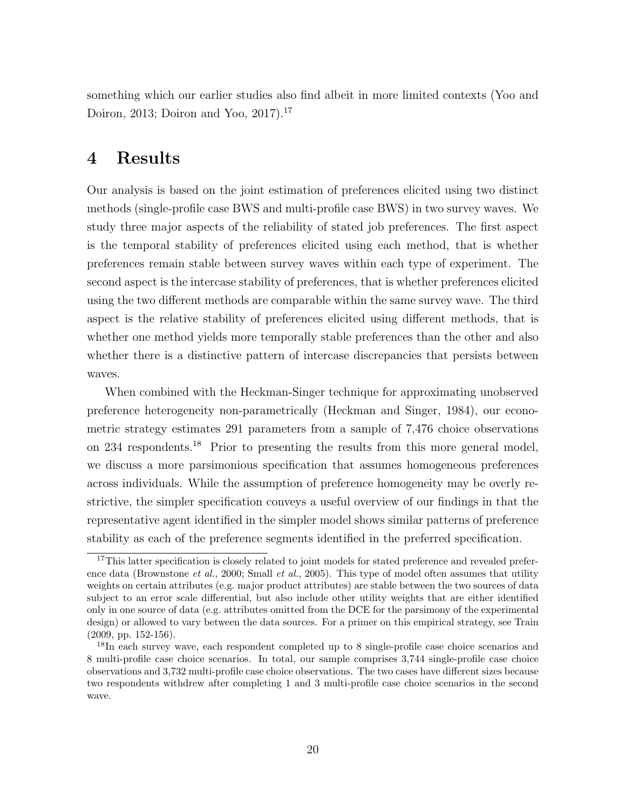something which our earlier studies also find albeit in more limited contexts (Yoo and Doiron, 2013; Doiron and Yoo, 2017).<sup>17</sup>

#### 4 Results

Our analysis is based on the joint estimation of preferences elicited using two distinct methods (single-profile case BWS and multi-profile case BWS) in two survey waves. We study three major aspects of the reliability of stated job preferences. The first aspect is the temporal stability of preferences elicited using each method, that is whether preferences remain stable between survey waves within each type of experiment. The second aspect is the intercase stability of preferences, that is whether preferences elicited using the two different methods are comparable within the same survey wave. The third aspect is the relative stability of preferences elicited using different methods, that is whether one method yields more temporally stable preferences than the other and also whether there is a distinctive pattern of intercase discrepancies that persists between waves.

When combined with the Heckman-Singer technique for approximating unobserved preference heterogeneity non-parametrically (Heckman and Singer, 1984), our econometric strategy estimates 291 parameters from a sample of 7,476 choice observations on 234 respondents.<sup>18</sup> Prior to presenting the results from this more general model, we discuss a more parsimonious specification that assumes homogeneous preferences across individuals. While the assumption of preference homogeneity may be overly restrictive, the simpler specification conveys a useful overview of our findings in that the representative agent identified in the simpler model shows similar patterns of preference stability as each of the preference segments identified in the preferred specification.

<sup>&</sup>lt;sup>17</sup>This latter specification is closely related to joint models for stated preference and revealed preference data (Brownstone *et al.*, 2000; Small *et al.*, 2005). This type of model often assumes that utility weights on certain attributes (e.g. major product attributes) are stable between the two sources of data subject to an error scale differential, but also include other utility weights that are either identified only in one source of data (e.g. attributes omitted from the DCE for the parsimony of the experimental design) or allowed to vary between the data sources. For a primer on this empirical strategy, see Train (2009, pp. 152-156).

<sup>&</sup>lt;sup>18</sup>In each survey wave, each respondent completed up to 8 single-profile case choice scenarios and 8 multi-profile case choice scenarios. In total, our sample comprises 3,744 single-profile case choice observations and 3,732 multi-profile case choice observations. The two cases have different sizes because two respondents withdrew after completing 1 and 3 multi-profile case choice scenarios in the second wave.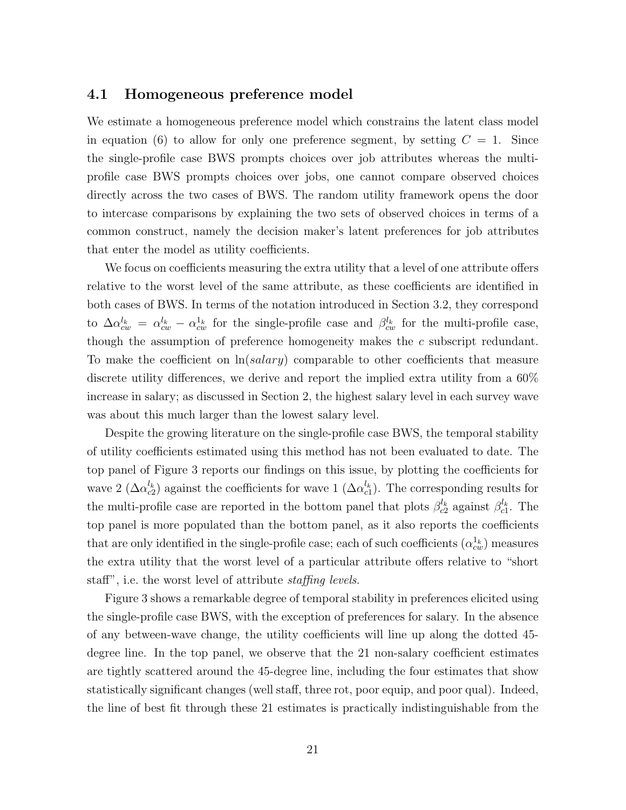#### 4.1 Homogeneous preference model

We estimate a homogeneous preference model which constrains the latent class model in equation (6) to allow for only one preference segment, by setting  $C = 1$ . Since the single-profile case BWS prompts choices over job attributes whereas the multiprofile case BWS prompts choices over jobs, one cannot compare observed choices directly across the two cases of BWS. The random utility framework opens the door to intercase comparisons by explaining the two sets of observed choices in terms of a common construct, namely the decision maker's latent preferences for job attributes that enter the model as utility coefficients.

We focus on coefficients measuring the extra utility that a level of one attribute offers relative to the worst level of the same attribute, as these coefficients are identified in both cases of BWS. In terms of the notation introduced in Section 3.2, they correspond to  $\Delta \alpha_{cw}^{l_k} = \alpha_{cw}^{l_k} - \alpha_{cw}^{1_k}$  for the single-profile case and  $\beta_{cw}^{l_k}$  for the multi-profile case, though the assumption of preference homogeneity makes the c subscript redundant. To make the coefficient on  $\ln(salary)$  comparable to other coefficients that measure discrete utility differences, we derive and report the implied extra utility from a 60% increase in salary; as discussed in Section 2, the highest salary level in each survey wave was about this much larger than the lowest salary level.

Despite the growing literature on the single-profile case BWS, the temporal stability of utility coefficients estimated using this method has not been evaluated to date. The top panel of Figure 3 reports our findings on this issue, by plotting the coefficients for wave 2 ( $\Delta a_{c2}^{l_k}$ ) against the coefficients for wave 1 ( $\Delta a_{c1}^{l_k}$ ). The corresponding results for the multi-profile case are reported in the bottom panel that plots  $\beta_{c2}^{l_k}$  against  $\beta_{c1}^{l_k}$ . The top panel is more populated than the bottom panel, as it also reports the coefficients that are only identified in the single-profile case; each of such coefficients  $(\alpha_{cw}^{1_k})$  measures the extra utility that the worst level of a particular attribute offers relative to "short staff", i.e. the worst level of attribute *staffing levels*.

Figure 3 shows a remarkable degree of temporal stability in preferences elicited using the single-profile case BWS, with the exception of preferences for salary. In the absence of any between-wave change, the utility coefficients will line up along the dotted 45 degree line. In the top panel, we observe that the 21 non-salary coefficient estimates are tightly scattered around the 45-degree line, including the four estimates that show statistically significant changes (well staff, three rot, poor equip, and poor qual). Indeed, the line of best fit through these 21 estimates is practically indistinguishable from the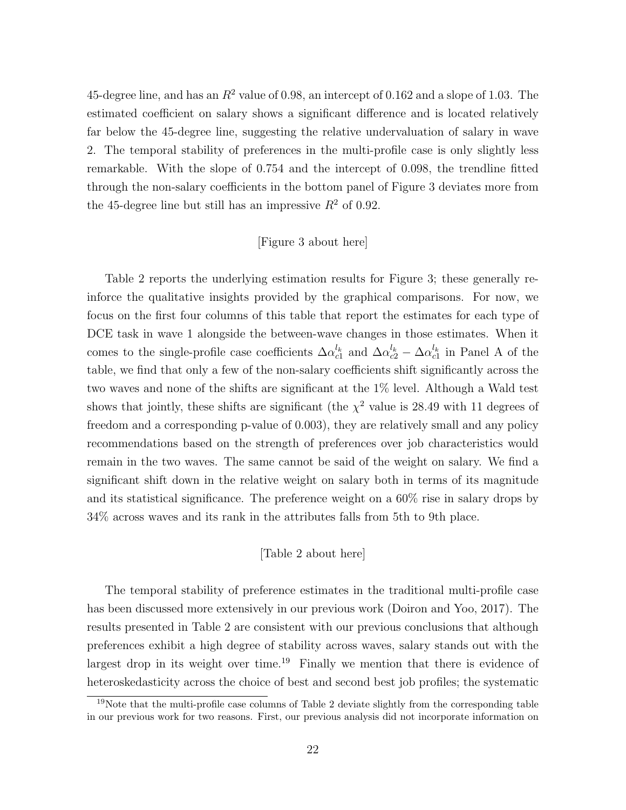45-degree line, and has an  $R^2$  value of 0.98, an intercept of 0.162 and a slope of 1.03. The estimated coefficient on salary shows a significant difference and is located relatively far below the 45-degree line, suggesting the relative undervaluation of salary in wave 2. The temporal stability of preferences in the multi-profile case is only slightly less remarkable. With the slope of 0.754 and the intercept of 0.098, the trendline fitted through the non-salary coefficients in the bottom panel of Figure 3 deviates more from the 45-degree line but still has an impressive  $R^2$  of 0.92.

#### [Figure 3 about here]

Table 2 reports the underlying estimation results for Figure 3; these generally reinforce the qualitative insights provided by the graphical comparisons. For now, we focus on the first four columns of this table that report the estimates for each type of DCE task in wave 1 alongside the between-wave changes in those estimates. When it comes to the single-profile case coefficients  $\Delta \alpha_{c1}^{l_k}$  and  $\Delta \alpha_{c2}^{l_k} - \Delta \alpha_{c1}^{l_k}$  in Panel A of the table, we find that only a few of the non-salary coefficients shift significantly across the two waves and none of the shifts are significant at the 1% level. Although a Wald test shows that jointly, these shifts are significant (the  $\chi^2$  value is 28.49 with 11 degrees of freedom and a corresponding p-value of 0.003), they are relatively small and any policy recommendations based on the strength of preferences over job characteristics would remain in the two waves. The same cannot be said of the weight on salary. We find a significant shift down in the relative weight on salary both in terms of its magnitude and its statistical significance. The preference weight on a 60% rise in salary drops by 34% across waves and its rank in the attributes falls from 5th to 9th place.

#### [Table 2 about here]

The temporal stability of preference estimates in the traditional multi-profile case has been discussed more extensively in our previous work (Doiron and Yoo, 2017). The results presented in Table 2 are consistent with our previous conclusions that although preferences exhibit a high degree of stability across waves, salary stands out with the largest drop in its weight over time.<sup>19</sup> Finally we mention that there is evidence of heteroskedasticity across the choice of best and second best job profiles; the systematic

 $19$ Note that the multi-profile case columns of Table 2 deviate slightly from the corresponding table in our previous work for two reasons. First, our previous analysis did not incorporate information on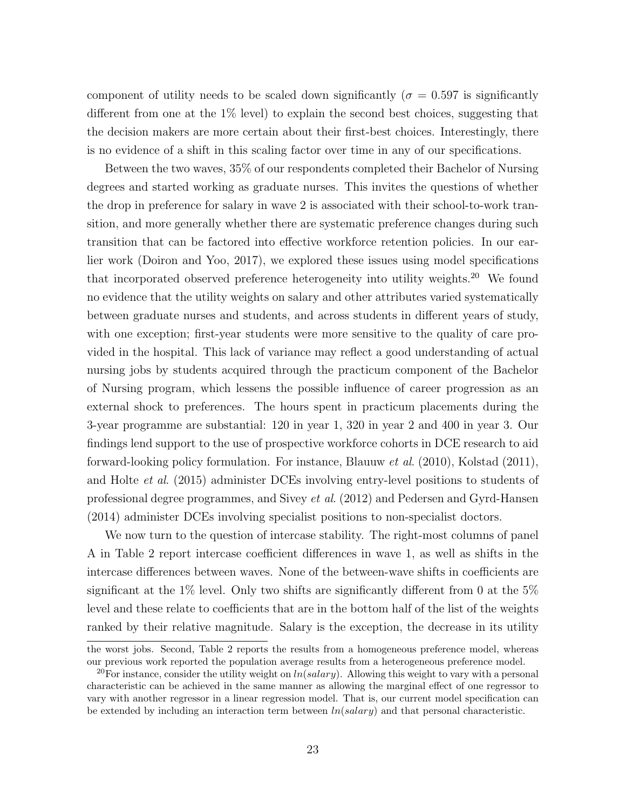component of utility needs to be scaled down significantly ( $\sigma = 0.597$  is significantly different from one at the  $1\%$  level) to explain the second best choices, suggesting that the decision makers are more certain about their first-best choices. Interestingly, there is no evidence of a shift in this scaling factor over time in any of our specifications.

Between the two waves, 35% of our respondents completed their Bachelor of Nursing degrees and started working as graduate nurses. This invites the questions of whether the drop in preference for salary in wave 2 is associated with their school-to-work transition, and more generally whether there are systematic preference changes during such transition that can be factored into effective workforce retention policies. In our earlier work (Doiron and Yoo, 2017), we explored these issues using model specifications that incorporated observed preference heterogeneity into utility weights.<sup>20</sup> We found no evidence that the utility weights on salary and other attributes varied systematically between graduate nurses and students, and across students in different years of study, with one exception; first-year students were more sensitive to the quality of care provided in the hospital. This lack of variance may reflect a good understanding of actual nursing jobs by students acquired through the practicum component of the Bachelor of Nursing program, which lessens the possible influence of career progression as an external shock to preferences. The hours spent in practicum placements during the 3-year programme are substantial: 120 in year 1, 320 in year 2 and 400 in year 3. Our findings lend support to the use of prospective workforce cohorts in DCE research to aid forward-looking policy formulation. For instance, Blauuw et al. (2010), Kolstad (2011), and Holte et al. (2015) administer DCEs involving entry-level positions to students of professional degree programmes, and Sivey et al. (2012) and Pedersen and Gyrd-Hansen (2014) administer DCEs involving specialist positions to non-specialist doctors.

We now turn to the question of intercase stability. The right-most columns of panel A in Table 2 report intercase coefficient differences in wave 1, as well as shifts in the intercase differences between waves. None of the between-wave shifts in coefficients are significant at the 1% level. Only two shifts are significantly different from 0 at the  $5\%$ level and these relate to coefficients that are in the bottom half of the list of the weights ranked by their relative magnitude. Salary is the exception, the decrease in its utility

the worst jobs. Second, Table 2 reports the results from a homogeneous preference model, whereas our previous work reported the population average results from a heterogeneous preference model.

<sup>&</sup>lt;sup>20</sup>For instance, consider the utility weight on  $ln(salary)$ . Allowing this weight to vary with a personal characteristic can be achieved in the same manner as allowing the marginal effect of one regressor to vary with another regressor in a linear regression model. That is, our current model specification can be extended by including an interaction term between  $ln(salary)$  and that personal characteristic.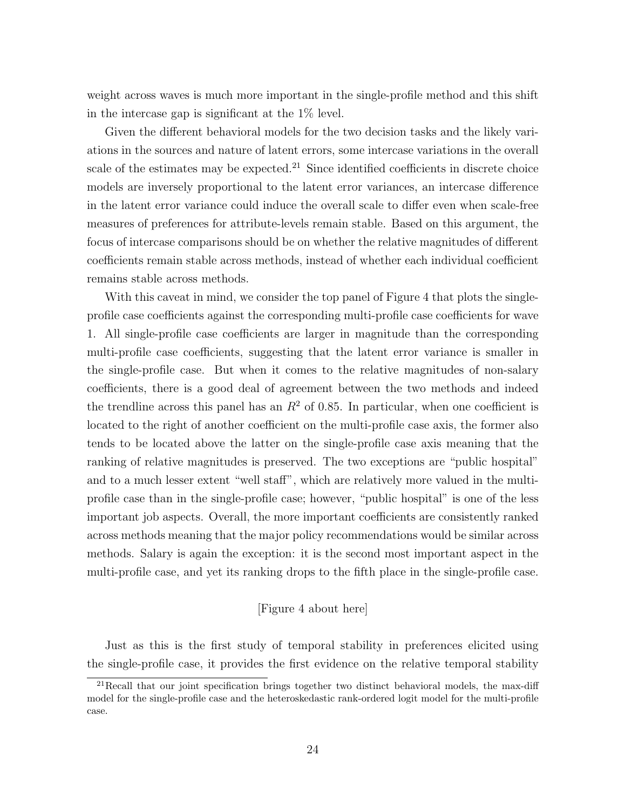weight across waves is much more important in the single-profile method and this shift in the intercase gap is significant at the 1% level.

Given the different behavioral models for the two decision tasks and the likely variations in the sources and nature of latent errors, some intercase variations in the overall scale of the estimates may be expected.<sup>21</sup> Since identified coefficients in discrete choice models are inversely proportional to the latent error variances, an intercase difference in the latent error variance could induce the overall scale to differ even when scale-free measures of preferences for attribute-levels remain stable. Based on this argument, the focus of intercase comparisons should be on whether the relative magnitudes of different coefficients remain stable across methods, instead of whether each individual coefficient remains stable across methods.

With this caveat in mind, we consider the top panel of Figure 4 that plots the singleprofile case coefficients against the corresponding multi-profile case coefficients for wave 1. All single-profile case coefficients are larger in magnitude than the corresponding multi-profile case coefficients, suggesting that the latent error variance is smaller in the single-profile case. But when it comes to the relative magnitudes of non-salary coefficients, there is a good deal of agreement between the two methods and indeed the trendline across this panel has an  $R^2$  of 0.85. In particular, when one coefficient is located to the right of another coefficient on the multi-profile case axis, the former also tends to be located above the latter on the single-profile case axis meaning that the ranking of relative magnitudes is preserved. The two exceptions are "public hospital" and to a much lesser extent "well staff", which are relatively more valued in the multiprofile case than in the single-profile case; however, "public hospital" is one of the less important job aspects. Overall, the more important coefficients are consistently ranked across methods meaning that the major policy recommendations would be similar across methods. Salary is again the exception: it is the second most important aspect in the multi-profile case, and yet its ranking drops to the fifth place in the single-profile case.

#### [Figure 4 about here]

Just as this is the first study of temporal stability in preferences elicited using the single-profile case, it provides the first evidence on the relative temporal stability

 $^{21}$ Recall that our joint specification brings together two distinct behavioral models, the max-diff model for the single-profile case and the heteroskedastic rank-ordered logit model for the multi-profile case.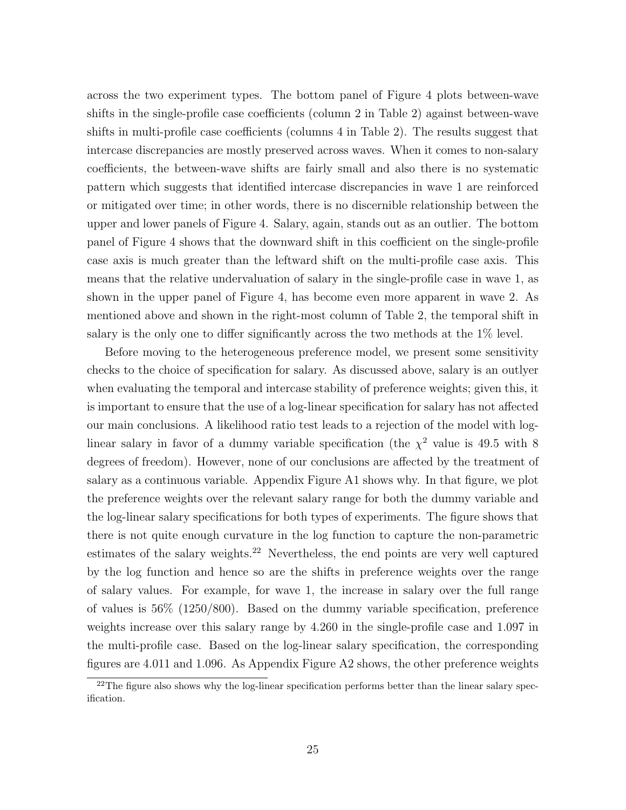across the two experiment types. The bottom panel of Figure 4 plots between-wave shifts in the single-profile case coefficients (column 2 in Table 2) against between-wave shifts in multi-profile case coefficients (columns 4 in Table 2). The results suggest that intercase discrepancies are mostly preserved across waves. When it comes to non-salary coefficients, the between-wave shifts are fairly small and also there is no systematic pattern which suggests that identified intercase discrepancies in wave 1 are reinforced or mitigated over time; in other words, there is no discernible relationship between the upper and lower panels of Figure 4. Salary, again, stands out as an outlier. The bottom panel of Figure 4 shows that the downward shift in this coefficient on the single-profile case axis is much greater than the leftward shift on the multi-profile case axis. This means that the relative undervaluation of salary in the single-profile case in wave 1, as shown in the upper panel of Figure 4, has become even more apparent in wave 2. As mentioned above and shown in the right-most column of Table 2, the temporal shift in salary is the only one to differ significantly across the two methods at the 1% level.

Before moving to the heterogeneous preference model, we present some sensitivity checks to the choice of specification for salary. As discussed above, salary is an outlyer when evaluating the temporal and intercase stability of preference weights; given this, it is important to ensure that the use of a log-linear specification for salary has not affected our main conclusions. A likelihood ratio test leads to a rejection of the model with loglinear salary in favor of a dummy variable specification (the  $\chi^2$  value is 49.5 with 8 degrees of freedom). However, none of our conclusions are affected by the treatment of salary as a continuous variable. Appendix Figure A1 shows why. In that figure, we plot the preference weights over the relevant salary range for both the dummy variable and the log-linear salary specifications for both types of experiments. The figure shows that there is not quite enough curvature in the log function to capture the non-parametric estimates of the salary weights.<sup>22</sup> Nevertheless, the end points are very well captured by the log function and hence so are the shifts in preference weights over the range of salary values. For example, for wave 1, the increase in salary over the full range of values is 56% (1250/800). Based on the dummy variable specification, preference weights increase over this salary range by 4.260 in the single-profile case and 1.097 in the multi-profile case. Based on the log-linear salary specification, the corresponding figures are 4.011 and 1.096. As Appendix Figure A2 shows, the other preference weights

 $22$ The figure also shows why the log-linear specification performs better than the linear salary specification.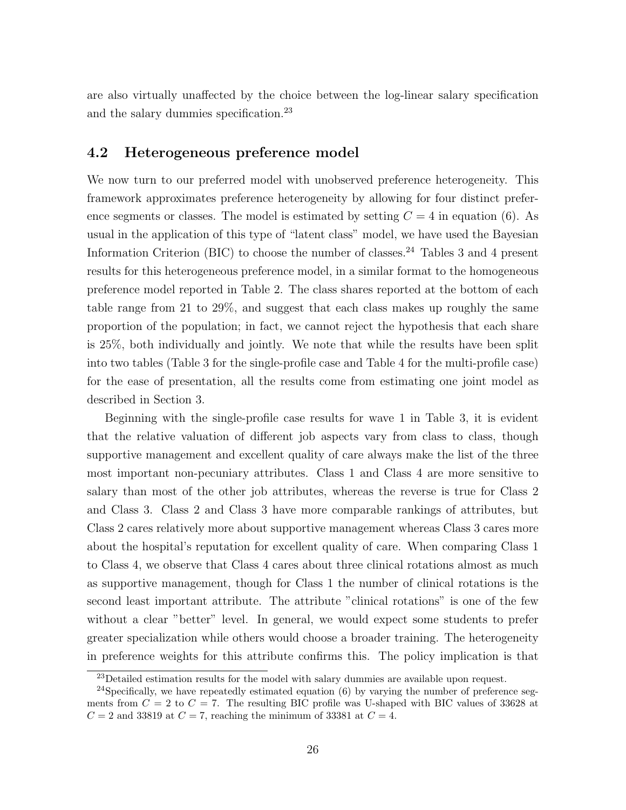are also virtually unaffected by the choice between the log-linear salary specification and the salary dummies specification.<sup>23</sup>

#### 4.2 Heterogeneous preference model

We now turn to our preferred model with unobserved preference heterogeneity. This framework approximates preference heterogeneity by allowing for four distinct preference segments or classes. The model is estimated by setting  $C = 4$  in equation (6). As usual in the application of this type of "latent class" model, we have used the Bayesian Information Criterion (BIC) to choose the number of classes.<sup>24</sup> Tables 3 and 4 present results for this heterogeneous preference model, in a similar format to the homogeneous preference model reported in Table 2. The class shares reported at the bottom of each table range from 21 to 29%, and suggest that each class makes up roughly the same proportion of the population; in fact, we cannot reject the hypothesis that each share is 25%, both individually and jointly. We note that while the results have been split into two tables (Table 3 for the single-profile case and Table 4 for the multi-profile case) for the ease of presentation, all the results come from estimating one joint model as described in Section 3.

Beginning with the single-profile case results for wave 1 in Table 3, it is evident that the relative valuation of different job aspects vary from class to class, though supportive management and excellent quality of care always make the list of the three most important non-pecuniary attributes. Class 1 and Class 4 are more sensitive to salary than most of the other job attributes, whereas the reverse is true for Class 2 and Class 3. Class 2 and Class 3 have more comparable rankings of attributes, but Class 2 cares relatively more about supportive management whereas Class 3 cares more about the hospital's reputation for excellent quality of care. When comparing Class 1 to Class 4, we observe that Class 4 cares about three clinical rotations almost as much as supportive management, though for Class 1 the number of clinical rotations is the second least important attribute. The attribute "clinical rotations" is one of the few without a clear "better" level. In general, we would expect some students to prefer greater specialization while others would choose a broader training. The heterogeneity in preference weights for this attribute confirms this. The policy implication is that

<sup>&</sup>lt;sup>23</sup>Detailed estimation results for the model with salary dummies are available upon request.

<sup>&</sup>lt;sup>24</sup>Specifically, we have repeatedly estimated equation  $(6)$  by varying the number of preference segments from  $C = 2$  to  $C = 7$ . The resulting BIC profile was U-shaped with BIC values of 33628 at  $C = 2$  and 33819 at  $C = 7$ , reaching the minimum of 33381 at  $C = 4$ .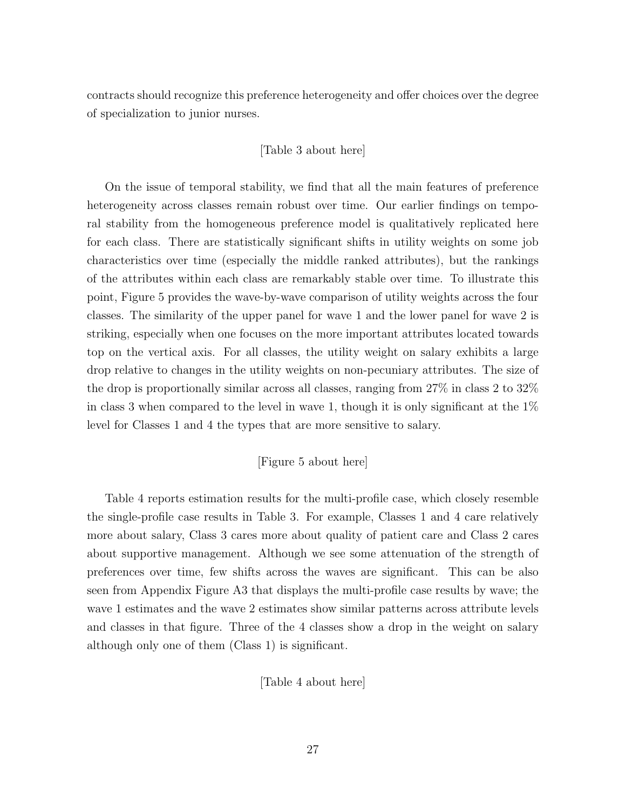contracts should recognize this preference heterogeneity and offer choices over the degree of specialization to junior nurses.

#### [Table 3 about here]

On the issue of temporal stability, we find that all the main features of preference heterogeneity across classes remain robust over time. Our earlier findings on temporal stability from the homogeneous preference model is qualitatively replicated here for each class. There are statistically significant shifts in utility weights on some job characteristics over time (especially the middle ranked attributes), but the rankings of the attributes within each class are remarkably stable over time. To illustrate this point, Figure 5 provides the wave-by-wave comparison of utility weights across the four classes. The similarity of the upper panel for wave 1 and the lower panel for wave 2 is striking, especially when one focuses on the more important attributes located towards top on the vertical axis. For all classes, the utility weight on salary exhibits a large drop relative to changes in the utility weights on non-pecuniary attributes. The size of the drop is proportionally similar across all classes, ranging from 27% in class 2 to 32% in class 3 when compared to the level in wave 1, though it is only significant at the  $1\%$ level for Classes 1 and 4 the types that are more sensitive to salary.

#### [Figure 5 about here]

Table 4 reports estimation results for the multi-profile case, which closely resemble the single-profile case results in Table 3. For example, Classes 1 and 4 care relatively more about salary, Class 3 cares more about quality of patient care and Class 2 cares about supportive management. Although we see some attenuation of the strength of preferences over time, few shifts across the waves are significant. This can be also seen from Appendix Figure A3 that displays the multi-profile case results by wave; the wave 1 estimates and the wave 2 estimates show similar patterns across attribute levels and classes in that figure. Three of the 4 classes show a drop in the weight on salary although only one of them (Class 1) is significant.

[Table 4 about here]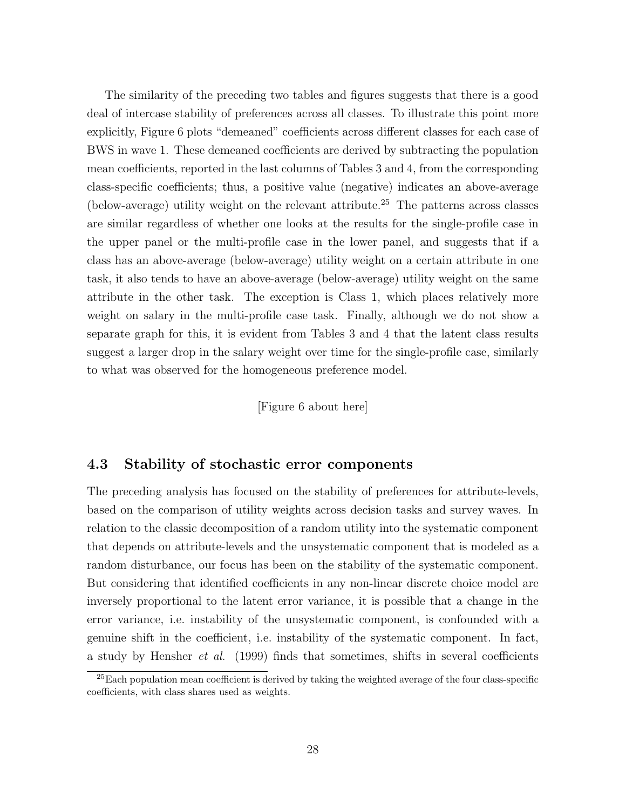The similarity of the preceding two tables and figures suggests that there is a good deal of intercase stability of preferences across all classes. To illustrate this point more explicitly, Figure 6 plots "demeaned" coefficients across different classes for each case of BWS in wave 1. These demeaned coefficients are derived by subtracting the population mean coefficients, reported in the last columns of Tables 3 and 4, from the corresponding class-specific coefficients; thus, a positive value (negative) indicates an above-average (below-average) utility weight on the relevant attribute.<sup>25</sup> The patterns across classes are similar regardless of whether one looks at the results for the single-profile case in the upper panel or the multi-profile case in the lower panel, and suggests that if a class has an above-average (below-average) utility weight on a certain attribute in one task, it also tends to have an above-average (below-average) utility weight on the same attribute in the other task. The exception is Class 1, which places relatively more weight on salary in the multi-profile case task. Finally, although we do not show a separate graph for this, it is evident from Tables 3 and 4 that the latent class results suggest a larger drop in the salary weight over time for the single-profile case, similarly to what was observed for the homogeneous preference model.

[Figure 6 about here]

#### 4.3 Stability of stochastic error components

The preceding analysis has focused on the stability of preferences for attribute-levels, based on the comparison of utility weights across decision tasks and survey waves. In relation to the classic decomposition of a random utility into the systematic component that depends on attribute-levels and the unsystematic component that is modeled as a random disturbance, our focus has been on the stability of the systematic component. But considering that identified coefficients in any non-linear discrete choice model are inversely proportional to the latent error variance, it is possible that a change in the error variance, i.e. instability of the unsystematic component, is confounded with a genuine shift in the coefficient, i.e. instability of the systematic component. In fact, a study by Hensher *et al.* (1999) finds that sometimes, shifts in several coefficients

 $^{25}$ Each population mean coefficient is derived by taking the weighted average of the four class-specific coefficients, with class shares used as weights.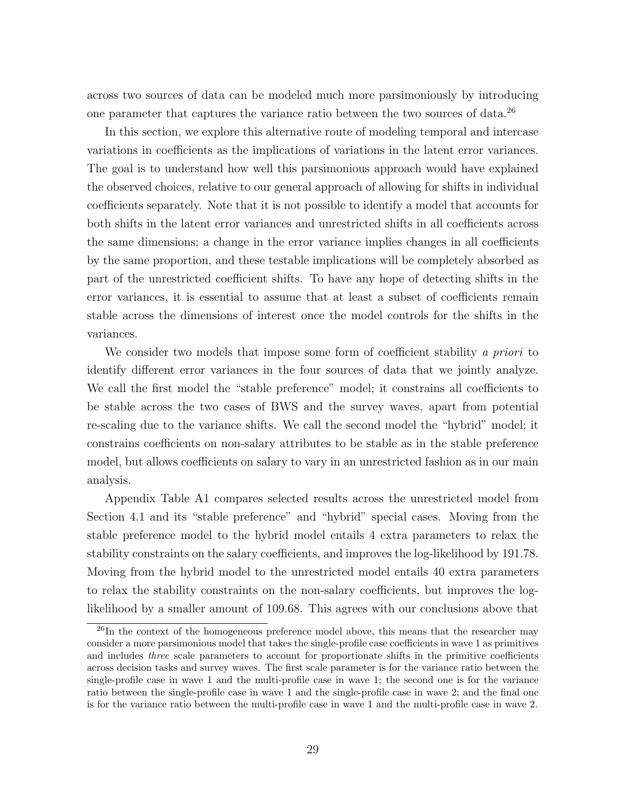across two sources of data can be modeled much more parsimoniously by introducing one parameter that captures the variance ratio between the two sources of data.<sup>26</sup>

In this section, we explore this alternative route of modeling temporal and intercase variations in coefficients as the implications of variations in the latent error variances. The goal is to understand how well this parsimonious approach would have explained the observed choices, relative to our general approach of allowing for shifts in individual coefficients separately. Note that it is not possible to identify a model that accounts for both shifts in the latent error variances and unrestricted shifts in all coefficients across the same dimensions; a change in the error variance implies changes in all coefficients by the same proportion, and these testable implications will be completely absorbed as part of the unrestricted coefficient shifts. To have any hope of detecting shifts in the error variances, it is essential to assume that at least a subset of coefficients remain stable across the dimensions of interest once the model controls for the shifts in the variances.

We consider two models that impose some form of coefficient stability a priori to identify different error variances in the four sources of data that we jointly analyze. We call the first model the "stable preference" model; it constrains all coefficients to be stable across the two cases of BWS and the survey waves, apart from potential re-scaling due to the variance shifts. We call the second model the "hybrid" model; it constrains coefficients on non-salary attributes to be stable as in the stable preference model, but allows coefficients on salary to vary in an unrestricted fashion as in our main analysis.

Appendix Table A1 compares selected results across the unrestricted model from Section 4.1 and its "stable preference" and "hybrid" special cases. Moving from the stable preference model to the hybrid model entails 4 extra parameters to relax the stability constraints on the salary coefficients, and improves the log-likelihood by 191.78. Moving from the hybrid model to the unrestricted model entails 40 extra parameters to relax the stability constraints on the non-salary coefficients, but improves the loglikelihood by a smaller amount of 109.68. This agrees with our conclusions above that

 $^{26}$ In the context of the homogeneous preference model above, this means that the researcher may consider a more parsimonious model that takes the single-profile case coefficients in wave 1 as primitives and includes three scale parameters to account for proportionate shifts in the primitive coefficients across decision tasks and survey waves. The first scale parameter is for the variance ratio between the single-profile case in wave 1 and the multi-profile case in wave 1; the second one is for the variance ratio between the single-profile case in wave 1 and the single-profile case in wave 2; and the final one is for the variance ratio between the multi-profile case in wave 1 and the multi-profile case in wave 2.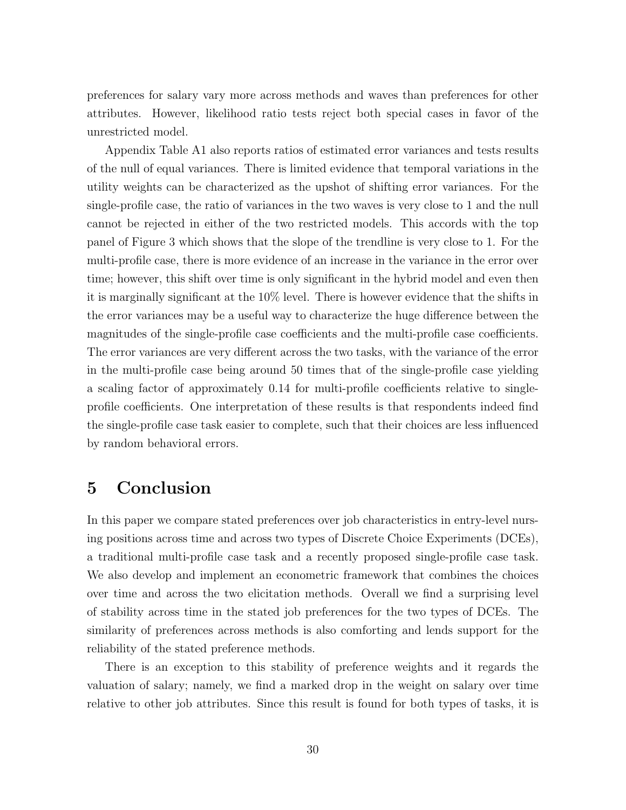preferences for salary vary more across methods and waves than preferences for other attributes. However, likelihood ratio tests reject both special cases in favor of the unrestricted model.

Appendix Table A1 also reports ratios of estimated error variances and tests results of the null of equal variances. There is limited evidence that temporal variations in the utility weights can be characterized as the upshot of shifting error variances. For the single-profile case, the ratio of variances in the two waves is very close to 1 and the null cannot be rejected in either of the two restricted models. This accords with the top panel of Figure 3 which shows that the slope of the trendline is very close to 1. For the multi-profile case, there is more evidence of an increase in the variance in the error over time; however, this shift over time is only significant in the hybrid model and even then it is marginally significant at the 10% level. There is however evidence that the shifts in the error variances may be a useful way to characterize the huge difference between the magnitudes of the single-profile case coefficients and the multi-profile case coefficients. The error variances are very different across the two tasks, with the variance of the error in the multi-profile case being around 50 times that of the single-profile case yielding a scaling factor of approximately 0.14 for multi-profile coefficients relative to singleprofile coefficients. One interpretation of these results is that respondents indeed find the single-profile case task easier to complete, such that their choices are less influenced by random behavioral errors.

#### 5 Conclusion

In this paper we compare stated preferences over job characteristics in entry-level nursing positions across time and across two types of Discrete Choice Experiments (DCEs), a traditional multi-profile case task and a recently proposed single-profile case task. We also develop and implement an econometric framework that combines the choices over time and across the two elicitation methods. Overall we find a surprising level of stability across time in the stated job preferences for the two types of DCEs. The similarity of preferences across methods is also comforting and lends support for the reliability of the stated preference methods.

There is an exception to this stability of preference weights and it regards the valuation of salary; namely, we find a marked drop in the weight on salary over time relative to other job attributes. Since this result is found for both types of tasks, it is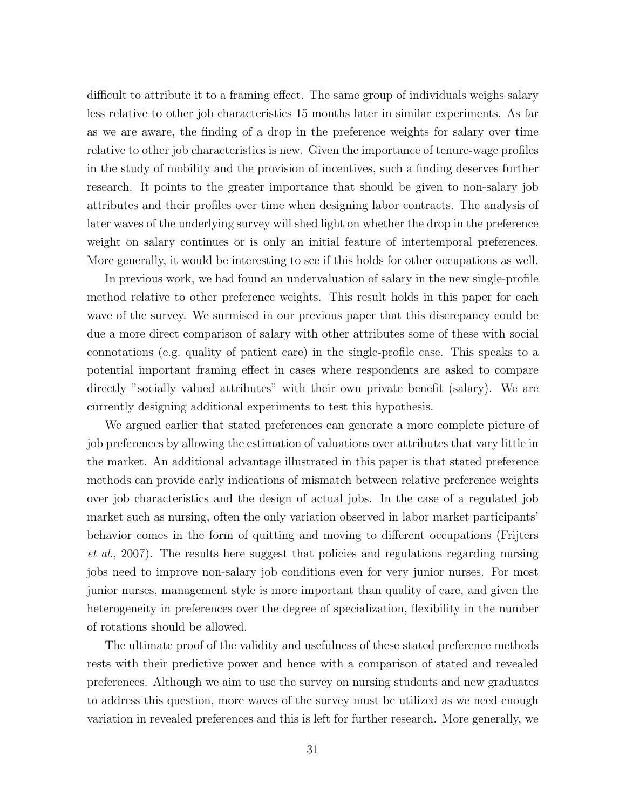difficult to attribute it to a framing effect. The same group of individuals weighs salary less relative to other job characteristics 15 months later in similar experiments. As far as we are aware, the finding of a drop in the preference weights for salary over time relative to other job characteristics is new. Given the importance of tenure-wage profiles in the study of mobility and the provision of incentives, such a finding deserves further research. It points to the greater importance that should be given to non-salary job attributes and their profiles over time when designing labor contracts. The analysis of later waves of the underlying survey will shed light on whether the drop in the preference weight on salary continues or is only an initial feature of intertemporal preferences. More generally, it would be interesting to see if this holds for other occupations as well.

In previous work, we had found an undervaluation of salary in the new single-profile method relative to other preference weights. This result holds in this paper for each wave of the survey. We surmised in our previous paper that this discrepancy could be due a more direct comparison of salary with other attributes some of these with social connotations (e.g. quality of patient care) in the single-profile case. This speaks to a potential important framing effect in cases where respondents are asked to compare directly "socially valued attributes" with their own private benefit (salary). We are currently designing additional experiments to test this hypothesis.

We argued earlier that stated preferences can generate a more complete picture of job preferences by allowing the estimation of valuations over attributes that vary little in the market. An additional advantage illustrated in this paper is that stated preference methods can provide early indications of mismatch between relative preference weights over job characteristics and the design of actual jobs. In the case of a regulated job market such as nursing, often the only variation observed in labor market participants' behavior comes in the form of quitting and moving to different occupations (Frijters et al., 2007). The results here suggest that policies and regulations regarding nursing jobs need to improve non-salary job conditions even for very junior nurses. For most junior nurses, management style is more important than quality of care, and given the heterogeneity in preferences over the degree of specialization, flexibility in the number of rotations should be allowed.

The ultimate proof of the validity and usefulness of these stated preference methods rests with their predictive power and hence with a comparison of stated and revealed preferences. Although we aim to use the survey on nursing students and new graduates to address this question, more waves of the survey must be utilized as we need enough variation in revealed preferences and this is left for further research. More generally, we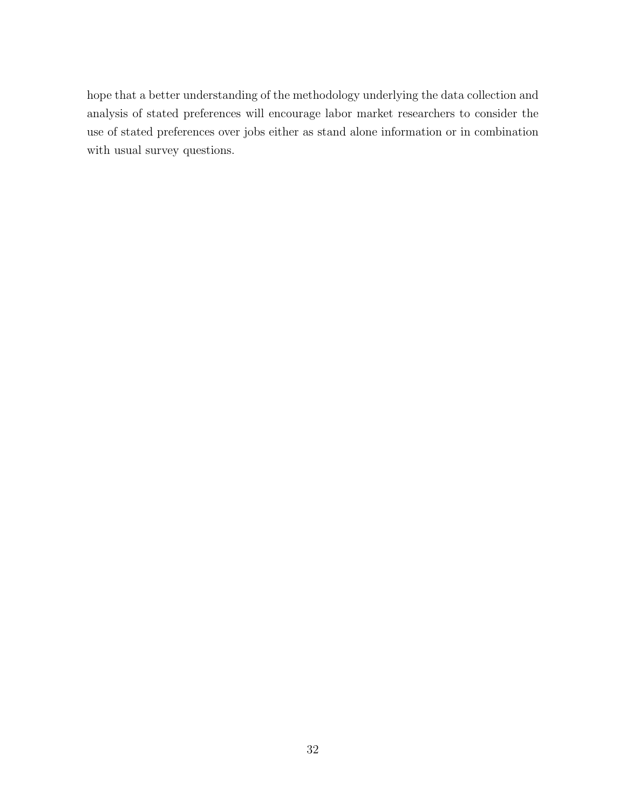hope that a better understanding of the methodology underlying the data collection and analysis of stated preferences will encourage labor market researchers to consider the use of stated preferences over jobs either as stand alone information or in combination with usual survey questions.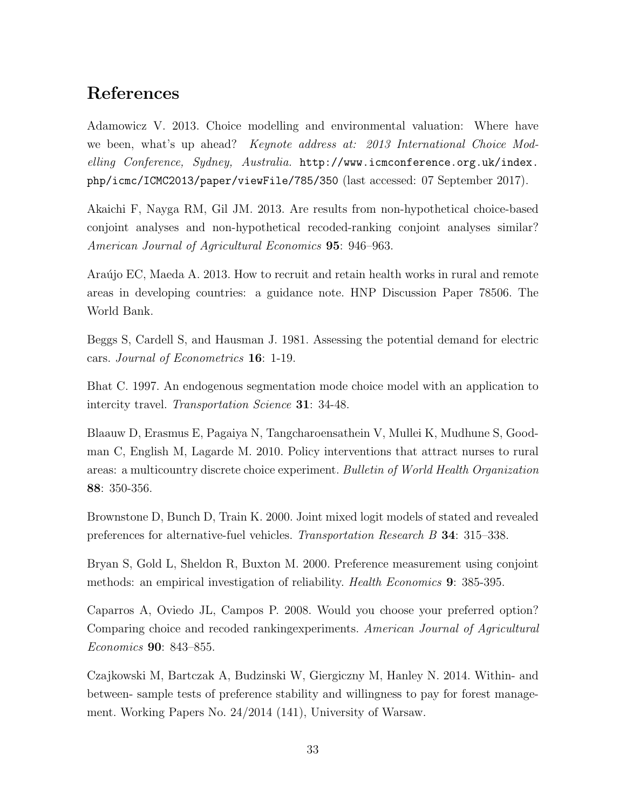#### References

Adamowicz V. 2013. Choice modelling and environmental valuation: Where have we been, what's up ahead? *Keynote address at: 2013 International Choice Mod*elling Conference, Sydney, Australia. http://www.icmconference.org.uk/index. php/icmc/ICMC2013/paper/viewFile/785/350 (last accessed: 07 September 2017).

Akaichi F, Nayga RM, Gil JM. 2013. Are results from non-hypothetical choice-based conjoint analyses and non-hypothetical recoded-ranking conjoint analyses similar? American Journal of Agricultural Economics 95: 946–963.

Araújo EC, Maeda A. 2013. How to recruit and retain health works in rural and remote areas in developing countries: a guidance note. HNP Discussion Paper 78506. The World Bank.

Beggs S, Cardell S, and Hausman J. 1981. Assessing the potential demand for electric cars. Journal of Econometrics 16: 1-19.

Bhat C. 1997. An endogenous segmentation mode choice model with an application to intercity travel. Transportation Science 31: 34-48.

Blaauw D, Erasmus E, Pagaiya N, Tangcharoensathein V, Mullei K, Mudhune S, Goodman C, English M, Lagarde M. 2010. Policy interventions that attract nurses to rural areas: a multicountry discrete choice experiment. Bulletin of World Health Organization 88: 350-356.

Brownstone D, Bunch D, Train K. 2000. Joint mixed logit models of stated and revealed preferences for alternative-fuel vehicles. Transportation Research B 34: 315–338.

Bryan S, Gold L, Sheldon R, Buxton M. 2000. Preference measurement using conjoint methods: an empirical investigation of reliability. Health Economics 9: 385-395.

Caparros A, Oviedo JL, Campos P. 2008. Would you choose your preferred option? Comparing choice and recoded rankingexperiments. American Journal of Agricultural Economics 90: 843–855.

Czajkowski M, Bartczak A, Budzinski W, Giergiczny M, Hanley N. 2014. Within- and between- sample tests of preference stability and willingness to pay for forest management. Working Papers No. 24/2014 (141), University of Warsaw.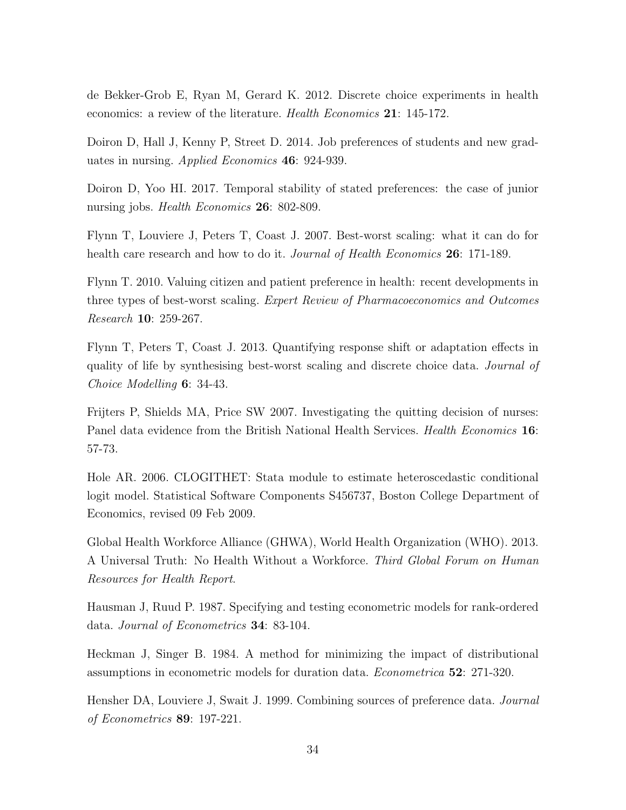de Bekker-Grob E, Ryan M, Gerard K. 2012. Discrete choice experiments in health economics: a review of the literature. Health Economics 21: 145-172.

Doiron D, Hall J, Kenny P, Street D. 2014. Job preferences of students and new graduates in nursing. Applied Economics 46: 924-939.

Doiron D, Yoo HI. 2017. Temporal stability of stated preferences: the case of junior nursing jobs. *Health Economics* **26**: 802-809.

Flynn T, Louviere J, Peters T, Coast J. 2007. Best-worst scaling: what it can do for health care research and how to do it. *Journal of Health Economics* **26**: 171-189.

Flynn T. 2010. Valuing citizen and patient preference in health: recent developments in three types of best-worst scaling. Expert Review of Pharmacoeconomics and Outcomes Research 10: 259-267.

Flynn T, Peters T, Coast J. 2013. Quantifying response shift or adaptation effects in quality of life by synthesising best-worst scaling and discrete choice data. Journal of Choice Modelling 6: 34-43.

Frijters P, Shields MA, Price SW 2007. Investigating the quitting decision of nurses: Panel data evidence from the British National Health Services. *Health Economics* 16: 57-73.

Hole AR. 2006. CLOGITHET: Stata module to estimate heteroscedastic conditional logit model. Statistical Software Components S456737, Boston College Department of Economics, revised 09 Feb 2009.

Global Health Workforce Alliance (GHWA), World Health Organization (WHO). 2013. A Universal Truth: No Health Without a Workforce. Third Global Forum on Human Resources for Health Report.

Hausman J, Ruud P. 1987. Specifying and testing econometric models for rank-ordered data. Journal of Econometrics 34: 83-104.

Heckman J, Singer B. 1984. A method for minimizing the impact of distributional assumptions in econometric models for duration data. Econometrica 52: 271-320.

Hensher DA, Louviere J, Swait J. 1999. Combining sources of preference data. Journal of Econometrics 89: 197-221.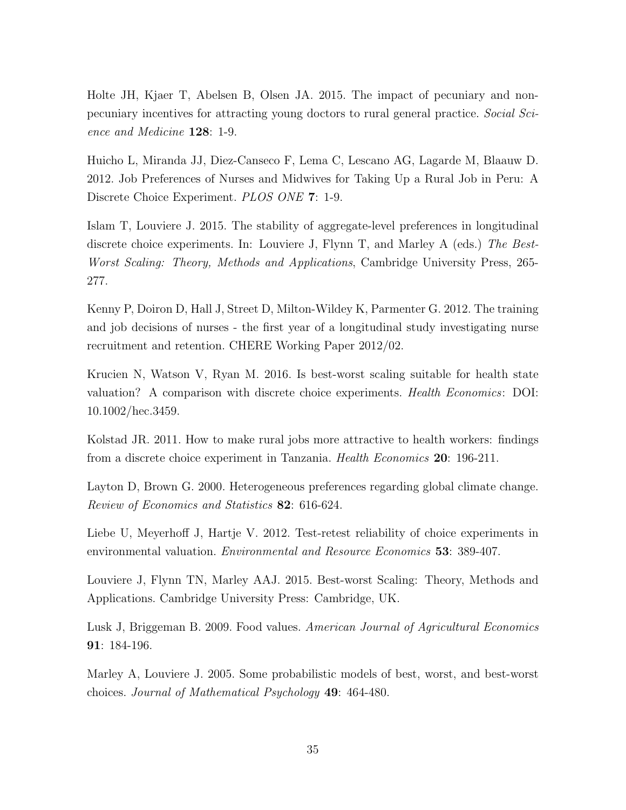Holte JH, Kjaer T, Abelsen B, Olsen JA. 2015. The impact of pecuniary and nonpecuniary incentives for attracting young doctors to rural general practice. Social Science and Medicine 128: 1-9.

Huicho L, Miranda JJ, Diez-Canseco F, Lema C, Lescano AG, Lagarde M, Blaauw D. 2012. Job Preferences of Nurses and Midwives for Taking Up a Rural Job in Peru: A Discrete Choice Experiment. PLOS ONE 7: 1-9.

Islam T, Louviere J. 2015. The stability of aggregate-level preferences in longitudinal discrete choice experiments. In: Louviere J, Flynn T, and Marley A (eds.) The Best-Worst Scaling: Theory, Methods and Applications, Cambridge University Press, 265- 277.

Kenny P, Doiron D, Hall J, Street D, Milton-Wildey K, Parmenter G. 2012. The training and job decisions of nurses - the first year of a longitudinal study investigating nurse recruitment and retention. CHERE Working Paper 2012/02.

Krucien N, Watson V, Ryan M. 2016. Is best-worst scaling suitable for health state valuation? A comparison with discrete choice experiments. Health Economics: DOI: 10.1002/hec.3459.

Kolstad JR. 2011. How to make rural jobs more attractive to health workers: findings from a discrete choice experiment in Tanzania. Health Economics 20: 196-211.

Layton D, Brown G. 2000. Heterogeneous preferences regarding global climate change. Review of Economics and Statistics 82: 616-624.

Liebe U, Meyerhoff J, Hartje V. 2012. Test-retest reliability of choice experiments in environmental valuation. Environmental and Resource Economics 53: 389-407.

Louviere J, Flynn TN, Marley AAJ. 2015. Best-worst Scaling: Theory, Methods and Applications. Cambridge University Press: Cambridge, UK.

Lusk J, Briggeman B. 2009. Food values. American Journal of Agricultural Economics 91: 184-196.

Marley A, Louviere J. 2005. Some probabilistic models of best, worst, and best-worst choices. Journal of Mathematical Psychology 49: 464-480.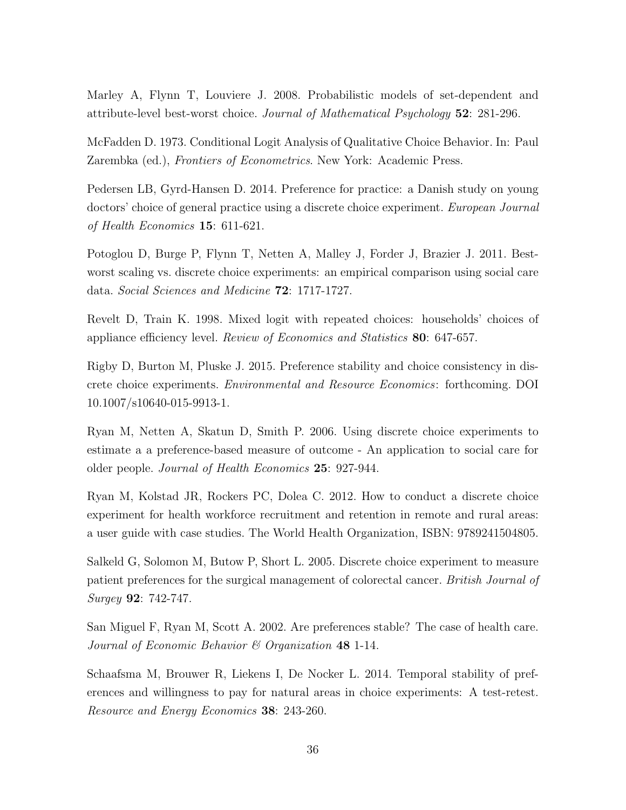Marley A, Flynn T, Louviere J. 2008. Probabilistic models of set-dependent and attribute-level best-worst choice. Journal of Mathematical Psychology 52: 281-296.

McFadden D. 1973. Conditional Logit Analysis of Qualitative Choice Behavior. In: Paul Zarembka (ed.), *Frontiers of Econometrics*. New York: Academic Press.

Pedersen LB, Gyrd-Hansen D. 2014. Preference for practice: a Danish study on young doctors' choice of general practice using a discrete choice experiment. European Journal of Health Economics 15: 611-621.

Potoglou D, Burge P, Flynn T, Netten A, Malley J, Forder J, Brazier J. 2011. Bestworst scaling vs. discrete choice experiments: an empirical comparison using social care data. Social Sciences and Medicine 72: 1717-1727.

Revelt D, Train K. 1998. Mixed logit with repeated choices: households' choices of appliance efficiency level. Review of Economics and Statistics 80: 647-657.

Rigby D, Burton M, Pluske J. 2015. Preference stability and choice consistency in discrete choice experiments. Environmental and Resource Economics: forthcoming. DOI 10.1007/s10640-015-9913-1.

Ryan M, Netten A, Skatun D, Smith P. 2006. Using discrete choice experiments to estimate a a preference-based measure of outcome - An application to social care for older people. Journal of Health Economics 25: 927-944.

Ryan M, Kolstad JR, Rockers PC, Dolea C. 2012. How to conduct a discrete choice experiment for health workforce recruitment and retention in remote and rural areas: a user guide with case studies. The World Health Organization, ISBN: 9789241504805.

Salkeld G, Solomon M, Butow P, Short L. 2005. Discrete choice experiment to measure patient preferences for the surgical management of colorectal cancer. British Journal of Surgey 92: 742-747.

San Miguel F, Ryan M, Scott A. 2002. Are preferences stable? The case of health care. Journal of Economic Behavior & Organization 48 1-14.

Schaafsma M, Brouwer R, Liekens I, De Nocker L. 2014. Temporal stability of preferences and willingness to pay for natural areas in choice experiments: A test-retest. Resource and Energy Economics 38: 243-260.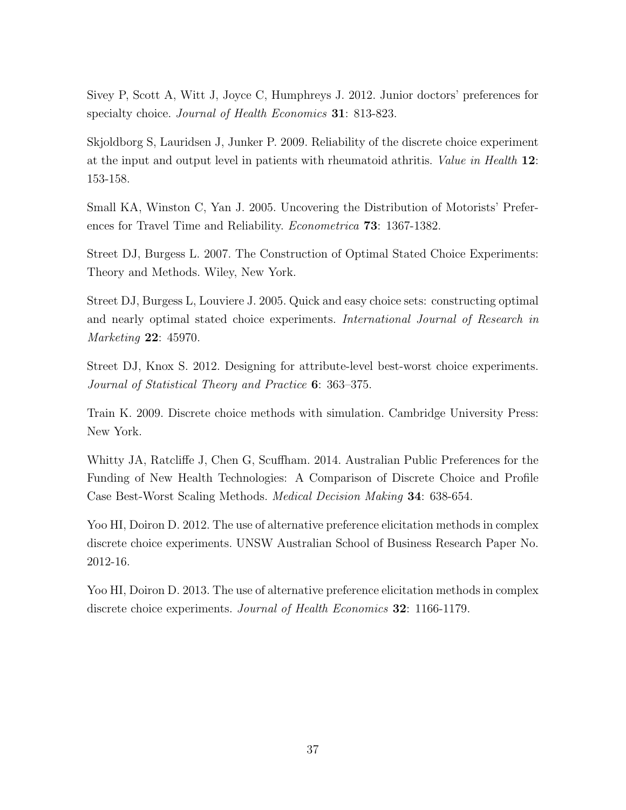Sivey P, Scott A, Witt J, Joyce C, Humphreys J. 2012. Junior doctors' preferences for specialty choice. *Journal of Health Economics* **31**: 813-823.

Skjoldborg S, Lauridsen J, Junker P. 2009. Reliability of the discrete choice experiment at the input and output level in patients with rheumatoid athritis. Value in Health 12: 153-158.

Small KA, Winston C, Yan J. 2005. Uncovering the Distribution of Motorists' Preferences for Travel Time and Reliability. Econometrica 73: 1367-1382.

Street DJ, Burgess L. 2007. The Construction of Optimal Stated Choice Experiments: Theory and Methods. Wiley, New York.

Street DJ, Burgess L, Louviere J. 2005. Quick and easy choice sets: constructing optimal and nearly optimal stated choice experiments. International Journal of Research in Marketing 22: 45970.

Street DJ, Knox S. 2012. Designing for attribute-level best-worst choice experiments. Journal of Statistical Theory and Practice 6: 363–375.

Train K. 2009. Discrete choice methods with simulation. Cambridge University Press: New York.

Whitty JA, Ratcliffe J, Chen G, Scuffham. 2014. Australian Public Preferences for the Funding of New Health Technologies: A Comparison of Discrete Choice and Profile Case Best-Worst Scaling Methods. Medical Decision Making 34: 638-654.

Yoo HI, Doiron D. 2012. The use of alternative preference elicitation methods in complex discrete choice experiments. UNSW Australian School of Business Research Paper No. 2012-16.

Yoo HI, Doiron D. 2013. The use of alternative preference elicitation methods in complex discrete choice experiments. Journal of Health Economics 32: 1166-1179.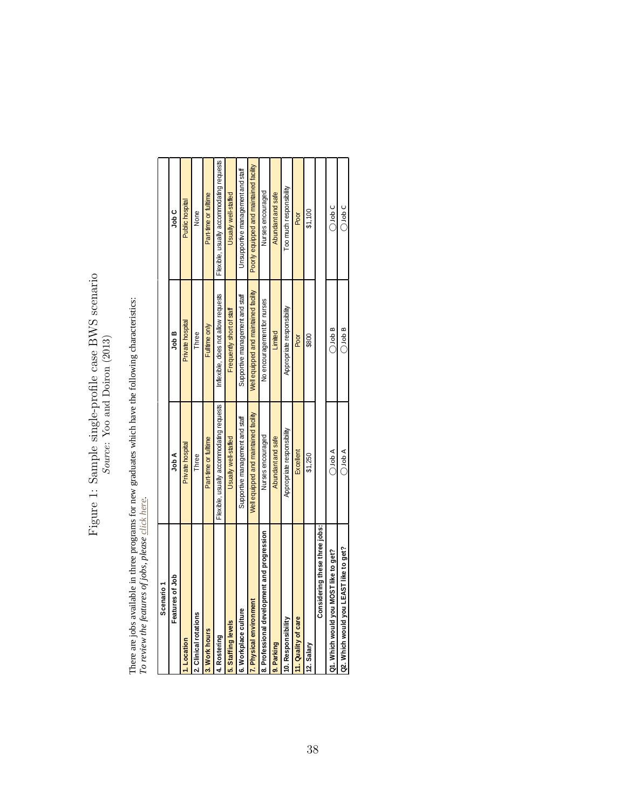# Figure 1: Sample single-profile case BWS scenario  $\it{Source: You}$  and Doiron  $(2013)$ Figure 1: Sample single-profile case BWS scenario Source: Yoo and Doiron (2013)

There are jobs available in three programs for new graduates which have the following characteristics:<br>To review the features of jobs, please click here. There are jobs available in three programs for new graduates which have the following characteristics: *To review the features of jobs, please click here*.

| Scenario <sup>-</sup>                       |                                          |                                       |                                          |
|---------------------------------------------|------------------------------------------|---------------------------------------|------------------------------------------|
| Features of Job                             | A dol                                    | Job B                                 | ں مار<br>جا                              |
| .Location                                   | Private hospital                         | Private hospital                      | Public hospital                          |
| 2. Clinical rotations                       | Three                                    | Three                                 | None                                     |
| 3. Work hours                               | Part-time or fulltime                    | Fulltime only                         | Part-time or fulltime                    |
| 4. Rostering                                | Flexible, usually accommodating requests | Inflexible, does not allow requests   | Flexible, usually accommodating requests |
| 5. Staffing levels                          | Usually well-staffed                     | Frequently short of staff             | Usually well-staffed                     |
| 6. Workplace culture                        | Supportive management and staff          | Supportive management and staff       | Unsupportive management and staff        |
| 7. Physical environment                     | Well equipped and maintained facility    | Well equipped and maintained facility | Poorly equipped and maintained facility  |
| 8. Professional development and progression | Nurses encouraged                        | No encouragement for nurses           | Nurses encouraged                        |
| 9. Parking                                  | Abundant and safe                        | Limited                               | Abundant and safe                        |
| 10. Responsibility                          | Appropriate responsibility               | Appropriate responsibility            | oo much responsibility                   |
| 11. Quality of care                         | Excellent                                | Poor                                  | Poor                                     |
| 12. Salary                                  | \$1,250                                  | \$800                                 | \$1,100                                  |
| Considering these three jobs:               |                                          |                                       |                                          |
| Q1. Which would you MOST like to get?       | $\triangle$ dot $\subset$                | $\bigcirc$ Job B                      | $\bigcirc$ Job C                         |
| Q2. Which would you LEAST like to get?      | $\bigcirc$ dob A                         | $\bigcirc$ Job B                      | $\bigcirc$ Job C                         |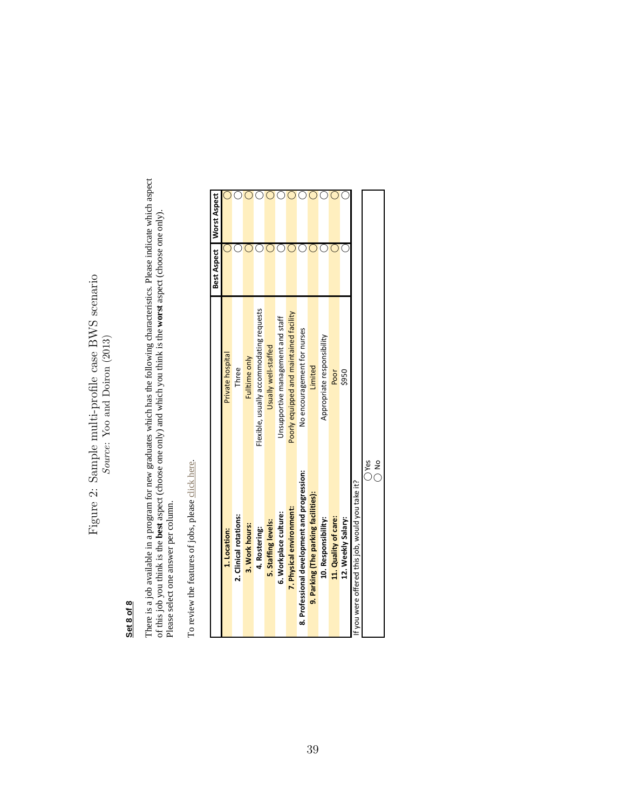# Figure 2: Sample multi-profile case BWS scenario Figure 2: Sample multi-profile case BWS scenario Source: Yoo and Doiron (2013) Source: Yoo and Doiron (2013)

#### Set 8 of 8 **Set 8 of 8**

There is a job available in a program for new graduates which has the following characteristics. Please indicate which aspect of this job you think is the **best** aspect (choose one one one one one one one).<br>Please select o There is a job available in a program for new graduates which has the following characteristics. Please indicate which aspect of this job you think is the **best** aspect (choose one only) and which you think is the **worst** aspect (choose one only). Please select one answer per column.

To review the features of jobs, please click here. To review the features of jobs, please click here.

|                                                  |                                          | Best Aspect | <b>Worst Aspect</b> |
|--------------------------------------------------|------------------------------------------|-------------|---------------------|
| 1. Location:                                     | Private hospital                         |             |                     |
| 2. Clinical rotations:                           | Three                                    |             |                     |
| 3. Work hours:                                   | Fulltime only                            |             |                     |
| 4. Rostering:                                    | Flexible, usually accommodating requests |             |                     |
| 5. Staffing levels:                              | Usually well-staffed                     |             |                     |
| 6. Workplace culture:                            | Unsupportive management and staff        |             |                     |
| 7. Physical environment:                         | Poorly equipped and maintained facility  |             |                     |
| 8. Professional development and progression:     | No encouragement for nurses              |             |                     |
| 9. Parking (The parking facilities):             | Limited                                  |             |                     |
| 10. Responsibility:                              | Appropriate responsibility               |             |                     |
| 11. Quality of care:                             | Poor                                     |             |                     |
| 12. Weekly Salary:                               | \$950                                    |             |                     |
| If you were offered this job, would you take it? |                                          |             |                     |
| $\frac{9}{2}$<br>O Yes                           |                                          |             |                     |
|                                                  |                                          |             |                     |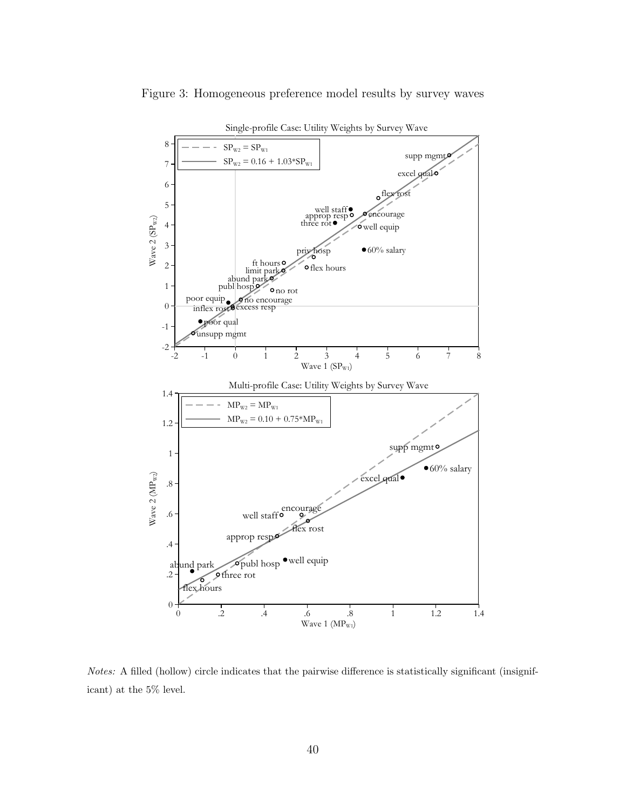

Figure 3: Homogeneous preference model results by survey waves

Notes: A filled (hollow) circle indicates that the pairwise difference is statistically significant (insignificant) at the 5% level.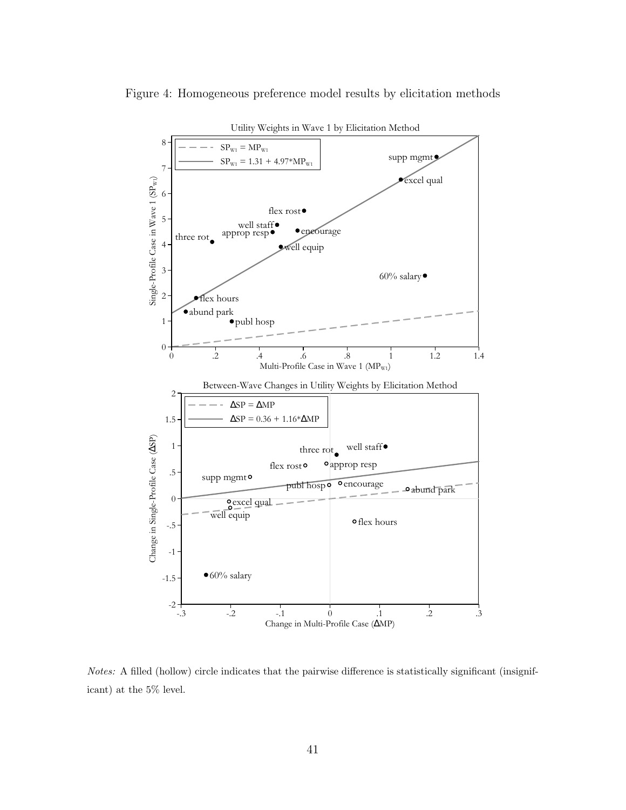

Figure 4: Homogeneous preference model results by elicitation methods

Notes: A filled (hollow) circle indicates that the pairwise difference is statistically significant (insignificant) at the 5% level.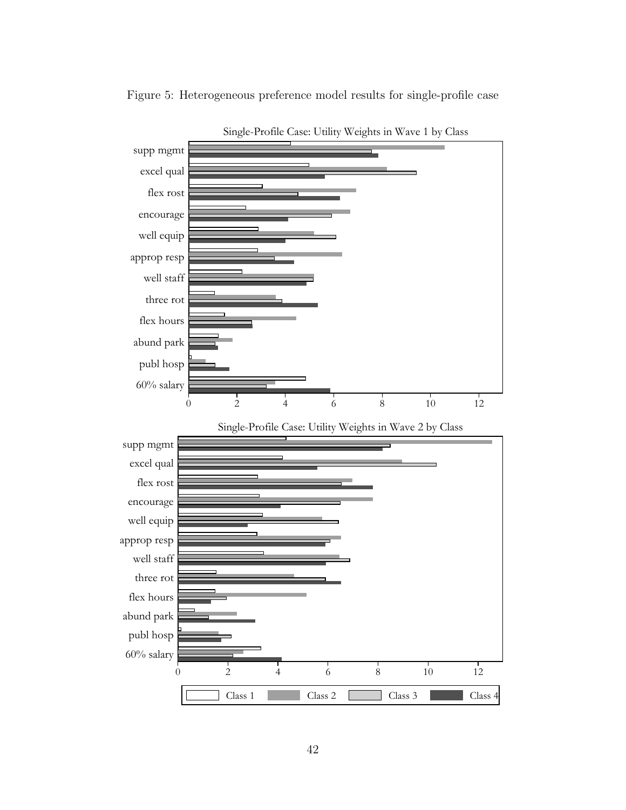

Figure 5: Heterogeneous preference model results for single-profile case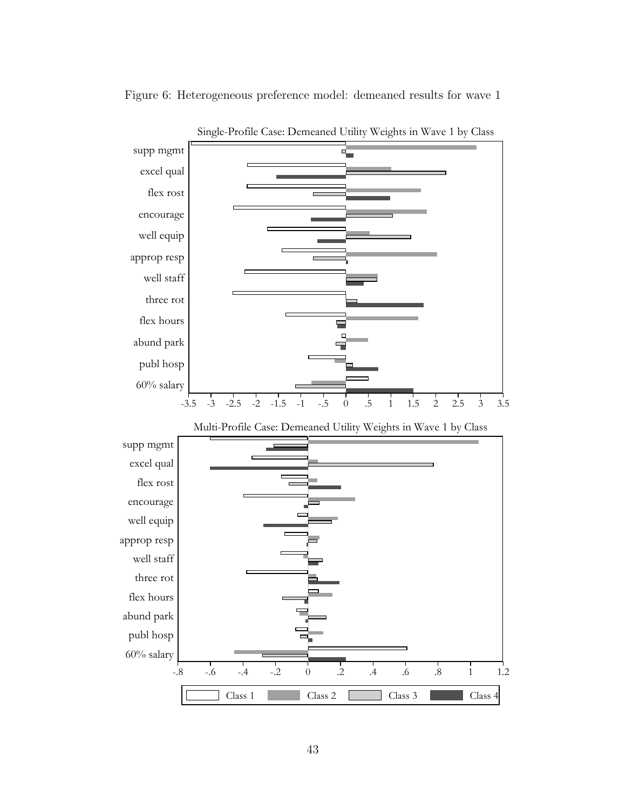

Figure 6: Heterogeneous preference model: demeaned results for wave 1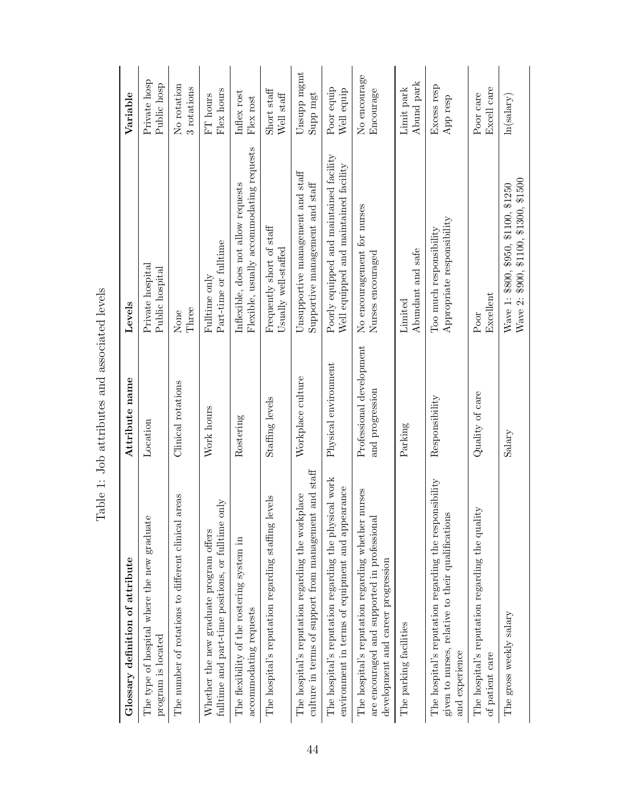| Glossary definition of attribute                                                                                                         | Attribute name                              | Levels                                                                           | Variable                    |
|------------------------------------------------------------------------------------------------------------------------------------------|---------------------------------------------|----------------------------------------------------------------------------------|-----------------------------|
| The type of hospital where the new graduate<br>program is located                                                                        | Location                                    | Private hospital<br>Public hospital                                              | Private hosp<br>Public hosp |
| The number of rotations to different clinical areas                                                                                      | Clinical rotations                          | Three<br>None                                                                    | No rotation<br>3 rotations  |
| fulltime and part-time positions, or fulltime only<br>Whether the new graduate program offers                                            | Work hours                                  | Part-time or fulltime<br>Fulltime only                                           | Flex hours<br>$FT$ hours    |
| The flexibility of the rostering system in<br>accommodating requests                                                                     | Rostering                                   | Flexible, usually accommodating requests<br>Inflexible, does not allow requests  | Inflex rost<br>Flex rost    |
| The hospital's reputation regarding staffing levels                                                                                      | Staffing levels                             | Frequently short of staff<br>Usually well-staffed                                | Short staff<br>Well staff   |
| culture in terms of support from management and staff<br>The hospital's reputation regarding the workplace                               | Workplace culture                           | Unsupportive management and staff<br>Supportive management and staff             | Unsupp mgmt<br>Supp mgt     |
| The hospital's reputation regarding the physical work<br>environment in terms of equipment and appearance                                | Physical environment                        | Poorly equipped and maintained facility<br>Well equipped and maintained facility | Poor equip<br>Well equip    |
| The hospital's reputation regarding whether nurses<br>are encouraged and supported in professional<br>development and career progression | Professional development<br>and progression | No encouragement for nurses<br>Nurses encouraged                                 | No encourage<br>Encourage   |
| The parking facilities                                                                                                                   | Parking                                     | Abundant and safe<br>Limited                                                     | Abund park<br>Limit park    |
| The hospital's reputation regarding the responsibility<br>given to nurses, relative to their qualifications<br>and experience            | Responsibility                              | ${\large \rm Appendix}$ responsibility<br>Too much responsibility                | Excess resp<br>App resp     |
| The hospital's reputation regarding the quality<br>of patient care                                                                       | Quality of care                             | Excellent<br>Poor                                                                | Excell care<br>Poor care    |
| The gross weekly salary                                                                                                                  | Salary                                      | Wave 2: \$900, \$1100, \$1300, \$1500<br>Wave 1: \$800, \$950, \$1100, \$1250    | ln(salary)                  |

Table 1: Job attributes and associated levels Table 1: Job attributes and associated levels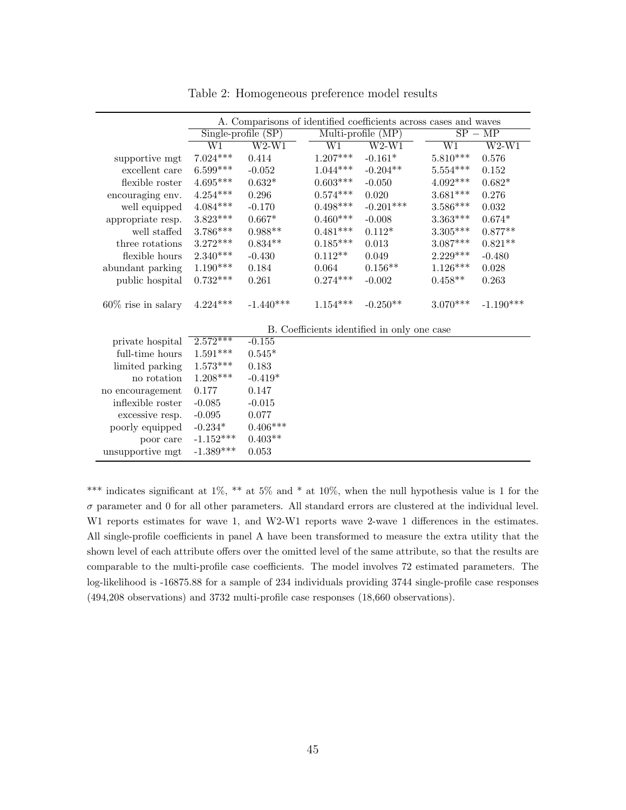|                       |                                | A. Comparisons of identified coefficients across cases and waves |            |                                             |                        |             |
|-----------------------|--------------------------------|------------------------------------------------------------------|------------|---------------------------------------------|------------------------|-------------|
|                       | $Single\text{-}profile$ $(SP)$ |                                                                  |            | Multi-profile $(MP)$                        |                        | $SP - MP$   |
|                       | W1                             | $W2-W1$                                                          | W1         | $W2-W1$                                     | $\overline{\text{W1}}$ | $W2-W1$     |
| supportive mgt        | $7.024***$                     | 0.414                                                            | $1.207***$ | $-0.161*$                                   | $5.810^{***}\,$        | 0.576       |
| excellent care        | $6.599***$                     | $-0.052$                                                         | $1.044***$ | $-0.204**$                                  | $5.554***$             | 0.152       |
| flexible roster       | $4.695***$                     | $0.632*$                                                         | $0.603***$ | $-0.050$                                    | $4.092^{\ast\ast\ast}$ | $0.682*$    |
| encouraging env.      | $4.254^{\ast\ast\ast}$         | 0.296                                                            | $0.574***$ | 0.020                                       | $3.681***$             | 0.276       |
| well equipped         | $4.084***$                     | $-0.170$                                                         | $0.498***$ | $-0.201***$                                 | $3.586^{\ast\ast\ast}$ | 0.032       |
| appropriate resp.     | $3.823***$                     | $0.667*$                                                         | $0.460***$ | $-0.008$                                    | $3.363***$             | $0.674*$    |
| well staffed          | $3.786***$                     | $0.988**$                                                        | $0.481***$ | $0.112*$                                    | $3.305^{***}\,$        | $0.877**$   |
| three rotations       | $3.272***$                     | $0.834**$                                                        | $0.185***$ | $\,0.013\,$                                 | $3.087***$             | $0.821**$   |
| flexible hours        | $2.340***$                     | $-0.430$                                                         | $0.112**$  | 0.049                                       | $2.229***$             | $-0.480$    |
| abundant parking      | $1.190***$                     | 0.184                                                            | 0.064      | $0.156**$                                   | $1.126***$             | 0.028       |
| public hospital       | $0.732***$                     | 0.261                                                            | $0.274***$ | $-0.002$                                    | $0.458**$              | 0.263       |
| $60\%$ rise in salary | $4.224***$                     | $-1.440***$                                                      | $1.154***$ | $-0.250**$                                  | $3.070***$             | $-1.190***$ |
|                       |                                |                                                                  |            | B. Coefficients identified in only one case |                        |             |
| private hospital      | $2.572***$                     | $-0.155$                                                         |            |                                             |                        |             |
| full-time hours       | $1.591***$                     | $0.545*$                                                         |            |                                             |                        |             |
| limited parking       | $1.573***$                     | 0.183                                                            |            |                                             |                        |             |
| no rotation           | $1.208***$                     | $-0.419*$                                                        |            |                                             |                        |             |
| no encouragement      | 0.177                          | 0.147                                                            |            |                                             |                        |             |
| inflexible roster     | $-0.085$                       | $-0.015$                                                         |            |                                             |                        |             |
| excessive resp.       | $-0.095$                       | 0.077                                                            |            |                                             |                        |             |
| poorly equipped       | $-0.234*$                      | $0.406***$                                                       |            |                                             |                        |             |
| poor care             | $-1.152***$                    | $0.403**$                                                        |            |                                             |                        |             |
| unsupportive mgt      | $-1.389***$                    | 0.053                                                            |            |                                             |                        |             |

Table 2: Homogeneous preference model results

\*\*\* indicates significant at 1%, \*\* at 5% and \* at 10%, when the null hypothesis value is 1 for the  $\sigma$  parameter and 0 for all other parameters. All standard errors are clustered at the individual level. W1 reports estimates for wave 1, and W2-W1 reports wave 2-wave 1 differences in the estimates. All single-profile coefficients in panel A have been transformed to measure the extra utility that the shown level of each attribute offers over the omitted level of the same attribute, so that the results are comparable to the multi-profile case coefficients. The model involves 72 estimated parameters. The log-likelihood is -16875.88 for a sample of 234 individuals providing 3744 single-profile case responses (494,208 observations) and 3732 multi-profile case responses (18,660 observations).

L.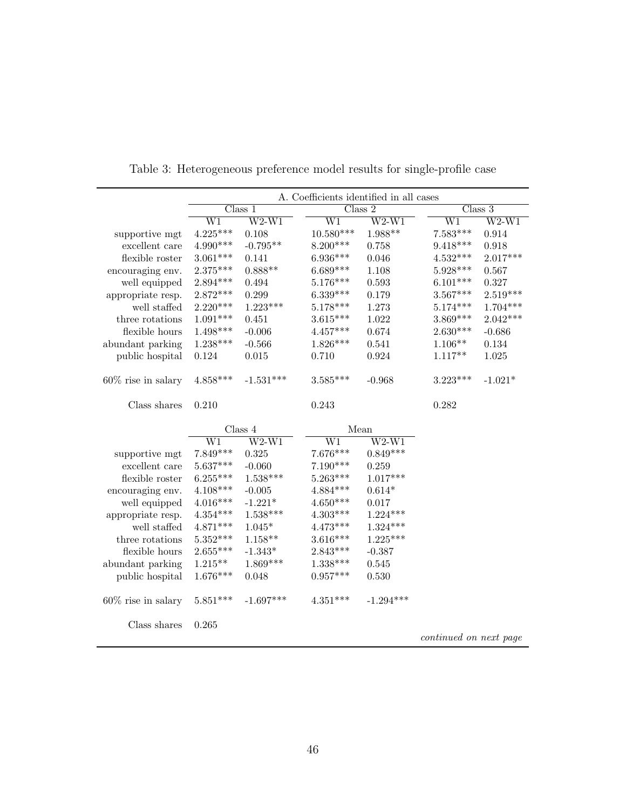|                       |                 |                    | A. Coefficients identified in all cases |             |                        |                              |
|-----------------------|-----------------|--------------------|-----------------------------------------|-------------|------------------------|------------------------------|
|                       | Class 1         |                    |                                         | Class 2     |                        | $\overline{\text{Class } 3}$ |
|                       | $\overline{W1}$ | $\overline{W2-W1}$ | $\overline{\text{W1}}$                  | $W2-W1$     | $\overline{W1}$        | $W2-W1$                      |
| supportive mgt        | $4.225***$      | 0.108              | $10.580***$                             | $1.988**$   | $7.583***$             | 0.914                        |
| excellent care        | $4.990***$      | $-0.795**$         | $8.200***$                              | 0.758       | $9.418***$             | 0.918                        |
| flexible roster       | $3.061***$      | 0.141              | $6.936***$                              | 0.046       | $4.532***$             | $2.017***$                   |
| encouraging env.      | $2.375***$      | $0.888**$          | $6.689***$                              | 1.108       | $5.928***$             | 0.567                        |
| well equipped         | $2.894***$      | 0.494              | $5.176***$                              | 0.593       | $6.101***$             | 0.327                        |
| appropriate resp.     | $2.872***$      | 0.299              | $6.339***$                              | 0.179       | $3.567***$             | $2.519***$                   |
| well staffed          | $2.220***$      | $1.223***$         | $5.178***$                              | 1.273       | $5.174***$             | $1.704***$                   |
| three rotations       | $1.091***$      | 0.451              | $3.615***$                              | 1.022       | $3.869***$             | $2.042***$                   |
| flexible hours        | $1.498***$      | $-0.006$           | $4.457***$                              | 0.674       | $2.630***$             | $-0.686$                     |
| abundant parking      | $1.238***$      | $-0.566$           | $1.826***$                              | 0.541       | $1.106**$              | 0.134                        |
| public hospital       | 0.124           | 0.015              | 0.710                                   | 0.924       | $1.117**$              | 1.025                        |
| $60\%$ rise in salary | $4.858***$      | $-1.531***$        | $3.585***$                              | $-0.968$    | $3.223***$             | $-1.021*$                    |
| Class shares          | 0.210           |                    | 0.243                                   |             | 0.282                  |                              |
|                       |                 | Class 4            | Mean                                    |             |                        |                              |
|                       | W1              | $W2-W1$            | W1                                      | $W2-W1$     |                        |                              |
| supportive mgt        | 7.849***        | 0.325              | $7.676***$                              | $0.849***$  |                        |                              |
| excellent care        | $5.637***$      | $-0.060$           | $7.190***$                              | 0.259       |                        |                              |
| flexible roster       | $6.255***$      | $1.538***$         | $5.263***$                              | $1.017***$  |                        |                              |
| encouraging env.      | $4.108***$      | $-0.005$           | $4.884***$                              | $0.614*$    |                        |                              |
| well equipped         | $4.016***$      | $-1.221*$          | $4.650***$                              | 0.017       |                        |                              |
| appropriate resp.     | $4.354***$      | $1.538***$         | $4.303***$                              | $1.224***$  |                        |                              |
| well staffed          | $4.871***$      | $1.045*$           | $4.473***$                              | $1.324***$  |                        |                              |
| three rotations       | $5.352***$      | $1.158**$          | $3.616***$                              | $1.225***$  |                        |                              |
| flexible hours        | $2.655***$      | $-1.343*$          | $2.843***$                              | $-0.387$    |                        |                              |
| abundant parking      | $1.215***$      | $1.869***$         | $1.338***$                              | 0.545       |                        |                              |
| public hospital       | $1.676***$      | 0.048              | $0.957***$                              | 0.530       |                        |                              |
| $60\%$ rise in salary | $5.851***$      | $-1.697***$        | $4.351***$                              | $-1.294***$ |                        |                              |
| Class shares          | 0.265           |                    |                                         |             | continued on next page |                              |

Table 3: Heterogeneous preference model results for single-profile case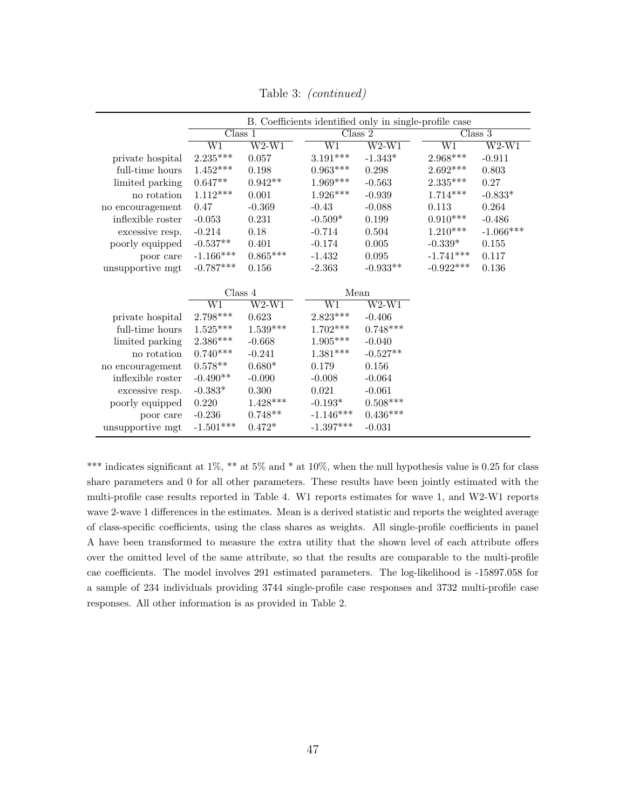|                   | B. Coefficients identified only in single-profile case |            |                        |            |                        |             |
|-------------------|--------------------------------------------------------|------------|------------------------|------------|------------------------|-------------|
|                   | $\overline{\text{Class 1}}$                            |            |                        | Class 2    |                        | Class 3     |
|                   | W1                                                     | $W2-W1$    | $\overline{W1}$        | $W2-W1$    | $\overline{\text{W1}}$ | $W2-W1$     |
| private hospital  | $2.235***$                                             | 0.057      | $3.191***$             | $-1.343*$  | $2.968***$             | $-0.911$    |
| full-time hours   | $1.452***$                                             | 0.198      | $0.963***$             | 0.298      | $2.692^{\ast\ast\ast}$ | 0.803       |
| limited parking   | $0.647**$                                              | $0.942**$  | $1.969***$             | $-0.563$   | $2.335***$             | 0.27        |
| no rotation       | $1.112***$                                             | 0.001      | $1.926***$             | $-0.939$   | $1.714***$             | $-0.833*$   |
| no encouragement  | 0.47                                                   | $-0.369$   | $-0.43$                | $-0.088$   | 0.113                  | 0.264       |
| inflexible roster | $-0.053$                                               | 0.231      | $-0.509*$              | 0.199      | $0.910***$             | $-0.486$    |
| excessive resp.   | $-0.214$                                               | 0.18       | $-0.714$               | 0.504      | $1.210***$             | $-1.066***$ |
| poorly equipped   | $-0.537**$                                             | 0.401      | $-0.174$               | $0.005\,$  | $-0.339*$              | 0.155       |
| poor care         | $-1.166***$                                            | $0.865***$ | $-1.432$               | 0.095      | $-1.741***$            | 0.117       |
| unsupportive mgt  | $-0.787***$                                            | 0.156      | $-2.363$               | $-0.933**$ | $-0.922***$            | 0.136       |
|                   |                                                        |            |                        |            |                        |             |
|                   | Class 4                                                |            | Mean                   |            |                        |             |
|                   | $\overline{\text{W1}}$                                 | $W2-W1$    | $\overline{\text{W1}}$ | $W2-W1$    |                        |             |
| private hospital  | $2.798***$                                             | 0.623      | $2.823***$             | $-0.406$   |                        |             |
| full-time hours   | $1.525***$                                             | $1.539***$ | $1.702***$             | $0.748***$ |                        |             |
| limited parking   | $2.386^{\ast\ast\ast}$                                 | $-0.668$   | $1.905***$             | $-0.040$   |                        |             |
| no rotation       | $0.740***$                                             | $-0.241$   | $1.381***$             | $-0.527**$ |                        |             |
| no encouragement  | $0.578**$                                              | $0.680*$   | 0.179                  | 0.156      |                        |             |
| inflexible roster | $-0.490**$                                             | $-0.090$   | $-0.008$               | $-0.064$   |                        |             |
| excessive resp.   | $-0.383*$                                              | $0.300\,$  | 0.021                  | $-0.061$   |                        |             |
| poorly equipped   | 0.220                                                  | $1.428***$ | $-0.193*$              | $0.508***$ |                        |             |
| poor care         | $-0.236$                                               | $0.748**$  | $-1.146***$            | $0.436***$ |                        |             |
| unsupportive mgt  | $-1.501***$                                            | $0.472*$   | $-1.397***$            | $-0.031$   |                        |             |

Table 3: (continued)

\*\*\* indicates significant at 1%, \*\* at 5% and \* at 10%, when the null hypothesis value is 0.25 for class share parameters and 0 for all other parameters. These results have been jointly estimated with the multi-profile case results reported in Table 4. W1 reports estimates for wave 1, and W2-W1 reports wave 2-wave 1 differences in the estimates. Mean is a derived statistic and reports the weighted average of class-specific coefficients, using the class shares as weights. All single-profile coefficients in panel A have been transformed to measure the extra utility that the shown level of each attribute offers over the omitted level of the same attribute, so that the results are comparable to the multi-profile cae coefficients. The model involves 291 estimated parameters. The log-likelihood is -15897.058 for a sample of 234 individuals providing 3744 single-profile case responses and 3732 multi-profile case responses. All other information is as provided in Table 2.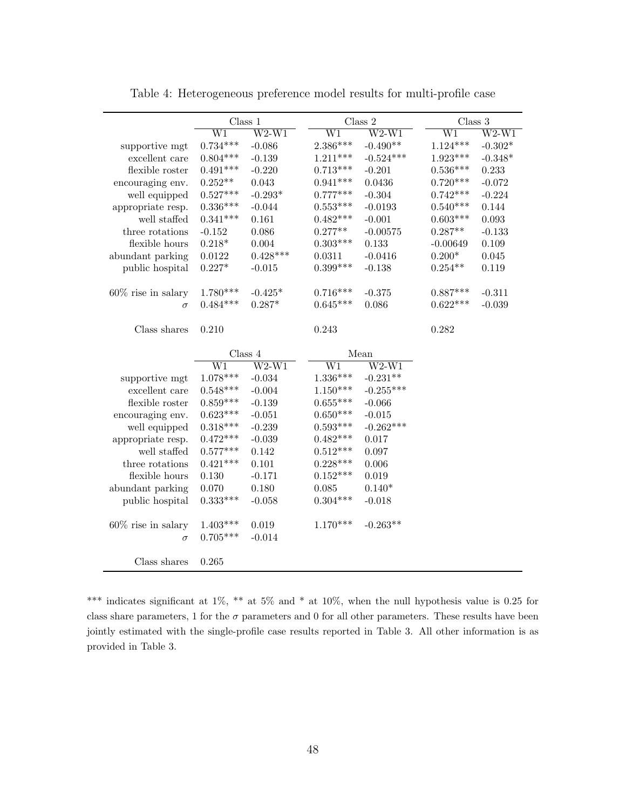|                       | Class 1                |                           | Class $2$              |                           | Class 3                |                           |
|-----------------------|------------------------|---------------------------|------------------------|---------------------------|------------------------|---------------------------|
|                       | $\overline{\text{W1}}$ | $\overline{\text{W2-W1}}$ | $\overline{\text{W1}}$ | $\overline{\text{W2-W1}}$ | $\overline{\text{W1}}$ | $\overline{\text{W2-W1}}$ |
| supportive mgt        | $0.734***$             | $-0.086$                  | $2.386***$             | $-0.490**$                | $1.124***$             | $-0.302*$                 |
| excellent care        | $0.804***$             | $-0.139$                  | $1.211***$             | $-0.524***$               | $1.923***$             | $-0.348*$                 |
| flexible roster       | $0.491***$             | $-0.220$                  | $0.713***$             | $-0.201$                  | $0.536***$             | 0.233                     |
| encouraging env.      | $0.252**$              | 0.043                     | $0.941***$             | 0.0436                    | $0.720***$             | $-0.072$                  |
| well equipped         | $0.527***$             | $-0.293*$                 | $0.777***$             | $-0.304$                  | $0.742***$             | $-0.224$                  |
| appropriate resp.     | $0.336***$             | $-0.044$                  | $0.553***$             | $-0.0193$                 | $0.540***$             | 0.144                     |
| well staffed          | $0.341***$             | 0.161                     | $0.482***$             | $-0.001$                  | $0.603***$             | 0.093                     |
| three rotations       | $-0.152$               | 0.086                     | $0.277**$              | $-0.00575$                | $0.287**$              | $-0.133$                  |
| flexible hours        | $0.218*$               | 0.004                     | $0.303***$             | 0.133                     | $-0.00649$             | 0.109                     |
| abundant parking      | 0.0122                 | $0.428***$                | 0.0311                 | $-0.0416$                 | $0.200*$               | 0.045                     |
| public hospital       | $0.227*$               | $-0.015$                  | $0.399***$             | $-0.138$                  | $0.254**$              | 0.119                     |
|                       |                        |                           |                        |                           |                        |                           |
| $60\%$ rise in salary | $1.780***$             | $-0.425*$                 | $0.716***$             | $-0.375$                  | $0.887***$             | $-0.311$                  |
| $\sigma$              | $0.484***$             | $0.287*$                  | $0.645***$             | 0.086                     | $0.622***$             | $-0.039$                  |
|                       |                        |                           |                        |                           |                        |                           |
| Class shares          | 0.210                  |                           | 0.243                  |                           | 0.282                  |                           |
|                       |                        |                           |                        |                           |                        |                           |
|                       | Class 4                |                           |                        | Mean                      |                        |                           |
|                       | W1                     | $W2-W1$                   | W1                     | $\overline{\text{W2-W1}}$ |                        |                           |
| supportive mgt        | $1.078***$             | $-0.034$                  | $1.336***$             | $-0.231**$                |                        |                           |
| excellent care        | $0.548***$             | $-0.004$                  | $1.150***$             | $-0.255***$               |                        |                           |
| flexible roster       | $0.859***$             | $-0.139$                  | $0.655***$             | $-0.066$                  |                        |                           |
| encouraging env.      | $0.623***$             | $-0.051$                  | $0.650***$             | $-0.015$                  |                        |                           |
| well equipped         | $0.318***$             | $-0.239$                  | $0.593***$             | $-0.262***$               |                        |                           |
| appropriate resp.     | $0.472***$             | $-0.039$                  | $0.482***$             | 0.017                     |                        |                           |
| well staffed          | $0.577***$             | 0.142                     | $0.512***$             | 0.097                     |                        |                           |
| three rotations       | $0.421***$             | 0.101                     | $0.228***$             | 0.006                     |                        |                           |
| flexible hours        | 0.130                  | $-0.171$                  | $0.152***$             | 0.019                     |                        |                           |
| abundant parking      | 0.070                  | 0.180                     | 0.085                  | $0.140*$                  |                        |                           |
| public hospital       | $0.333***$             | $-0.058$                  | $0.304***$             | $-0.018$                  |                        |                           |
|                       |                        |                           |                        |                           |                        |                           |
| $60\%$ rise in salary | $1.403***$             | 0.019                     | $1.170***$             | $-0.263**$                |                        |                           |
| $\sigma$              | $0.705***$             | $-0.014$                  |                        |                           |                        |                           |
|                       |                        |                           |                        |                           |                        |                           |
| Class shares          | 0.265                  |                           |                        |                           |                        |                           |

Table 4: Heterogeneous preference model results for multi-profile case

\*\*\* indicates significant at 1%, \*\* at 5% and \* at 10%, when the null hypothesis value is 0.25 for class share parameters, 1 for the  $\sigma$  parameters and 0 for all other parameters. These results have been jointly estimated with the single-profile case results reported in Table 3. All other information is as provided in Table 3.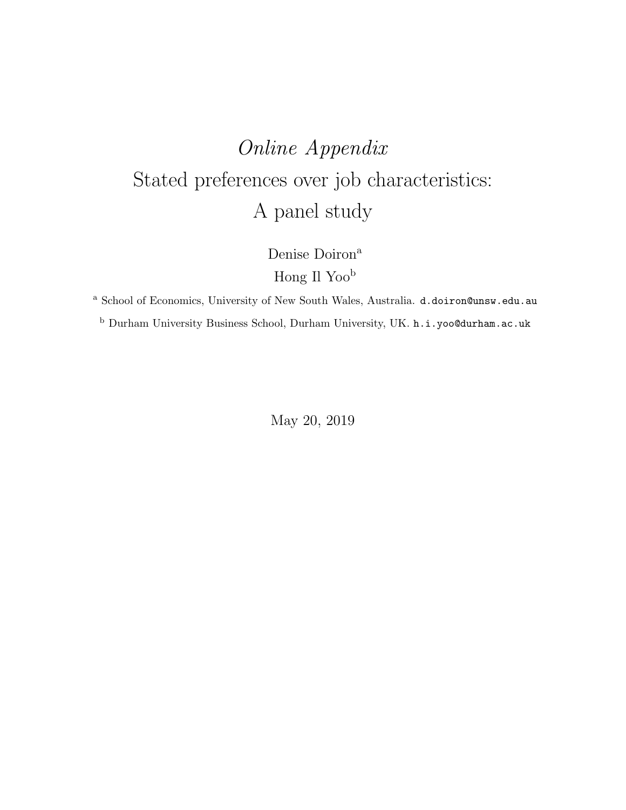## Online Appendix Stated preferences over job characteristics: A panel study

Denise Doiron<sup>a</sup> Hong Il Yoo<sup>b</sup>

<sup>a</sup> School of Economics, University of New South Wales, Australia. d.doiron@unsw.edu.au  $^{\rm b}$  Durham University Business School, Durham University, UK.  ${\tt h.i.yoo@durham.ac.uk}$ 

May 20, 2019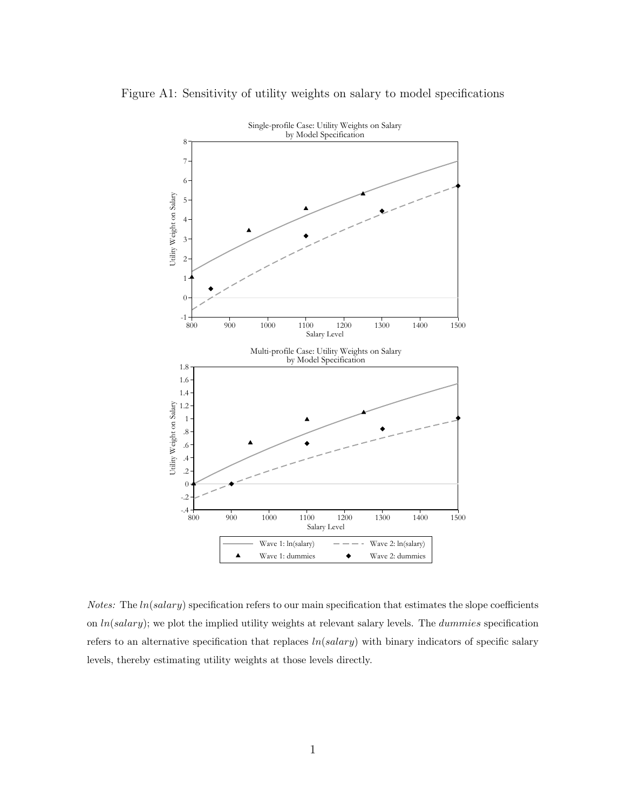

Figure A1: Sensitivity of utility weights on salary to model specifications

*Notes:* The  $ln(salary)$  specification refers to our main specification that estimates the slope coefficients on  $ln(salary)$ ; we plot the implied utility weights at relevant salary levels. The  $dummies$  specification refers to an alternative specification that replaces  $ln(salary)$  with binary indicators of specific salary levels, thereby estimating utility weights at those levels directly.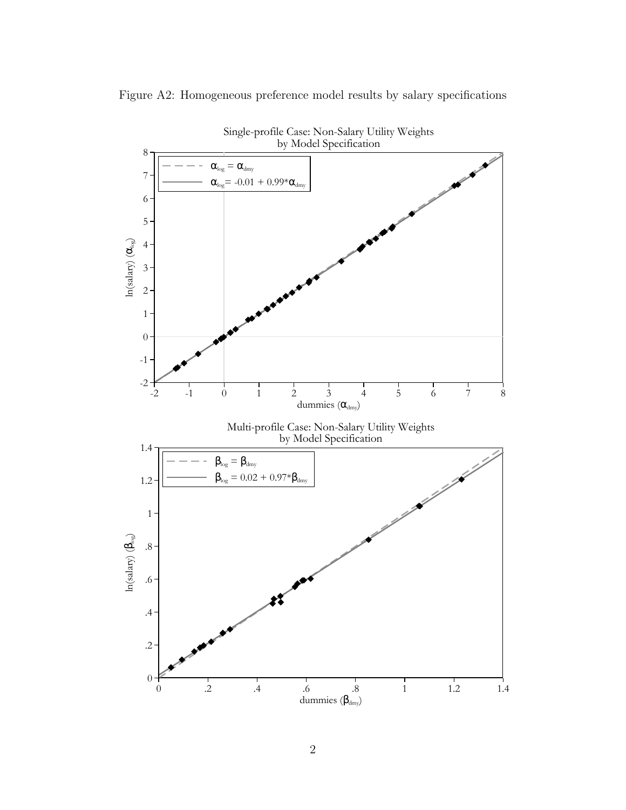

Figure A2: Homogeneous preference model results by salary specifications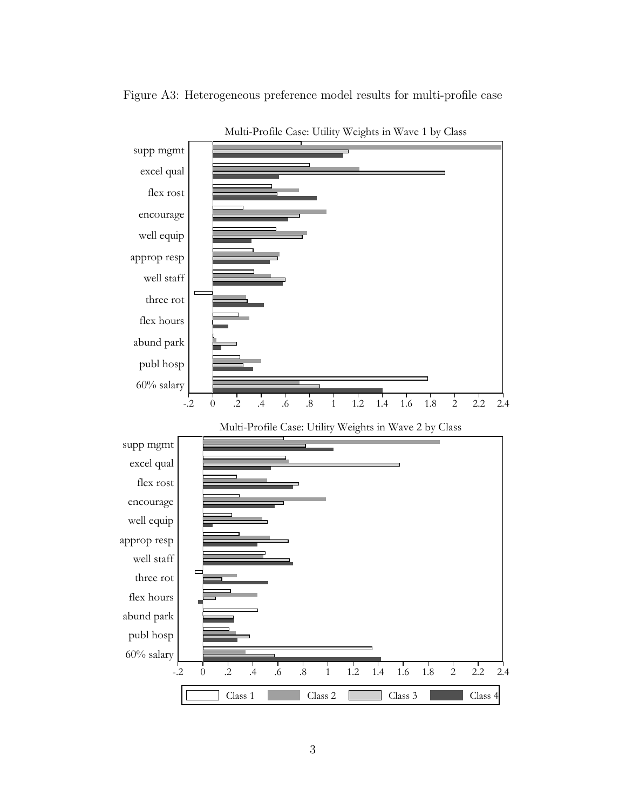

Figure A3: Heterogeneous preference model results for multi-profile case